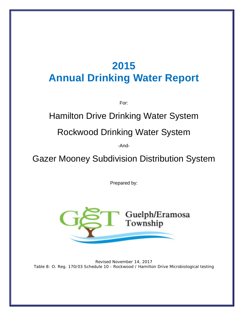# **2015 Annual Drinking Water Report**

For:

# Hamilton Drive Drinking Water System

# Rockwood Drinking Water System

-And-

Gazer Mooney Subdivision Distribution System

Prepared by:



Revised November 14, 2017 Table 8: O. Reg. 170/03 Schedule 10 - [Rockwood / Hamilton Drive Microbiological testing](#page-18-0)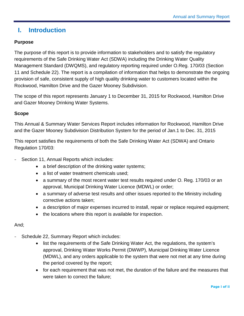# **I. Introduction**

# **Purpose**

The purpose of this report is to provide information to stakeholders and to satisfy the regulatory requirements of the Safe Drinking Water Act (SDWA) including the Drinking Water Quality Management Standard (DWQMS), and regulatory reporting required under O.Reg. 170/03 (Section 11 and Schedule 22). The report is a compilation of information that helps to demonstrate the ongoing provision of safe, consistent supply of high quality drinking water to customers located within the Rockwood, Hamilton Drive and the Gazer Mooney Subdivision.

The scope of this report represents January 1 to December 31, 2015 for Rockwood, Hamilton Drive and Gazer Mooney Drinking Water Systems.

#### **Scope**

This Annual & Summary Water Services Report includes information for Rockwood, Hamilton Drive and the Gazer Mooney Subdivision Distribution System for the period of Jan.1 to Dec. 31, 2015

This report satisfies the requirements of both the Safe Drinking Water Act (SDWA) and Ontario Regulation 170/03:

- Section 11, Annual Reports which includes:
	- a brief description of the drinking water systems;
	- a list of water treatment chemicals used;
	- a summary of the most recent water test results required under O. Reg. 170/03 or an approval, Municipal Drinking Water Licence (MDWL) or order;
	- a summary of adverse test results and other issues reported to the Ministry including corrective actions taken;
	- a description of major expenses incurred to install, repair or replace required equipment;
	- the locations where this report is available for inspection.

#### And;

- Schedule 22, Summary Report which includes:
	- list the requirements of the Safe Drinking Water Act, the regulations, the system's approval, Drinking Water Works Permit (DWWP), Municipal Drinking Water Licence (MDWL), and any orders applicable to the system that were not met at any time during the period covered by the report;
	- for each requirement that was not met, the duration of the failure and the measures that were taken to correct the failure;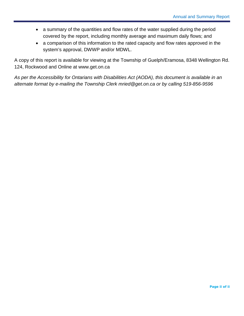- a summary of the quantities and flow rates of the water supplied during the period covered by the report, including monthly average and maximum daily flows; and
- a comparison of this information to the rated capacity and flow rates approved in the system's approval, DWWP and/or MDWL.

A copy of this report is available for viewing at the Township of Guelph/Eramosa, 8348 Wellington Rd. 124, Rockwood and Online at [www.get.on.ca](http://www.get.on.ca/)

*As per the Accessibility for Ontarians with Disabilities Act (AODA), this document is available in an alternate format by e-mailing the Township Clerk mried@get.on.ca or by calling 519-856-9596*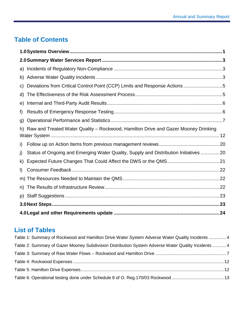# **Table of Contents**

| a)           |                                                                                       |  |  |  |  |  |  |
|--------------|---------------------------------------------------------------------------------------|--|--|--|--|--|--|
| b)           |                                                                                       |  |  |  |  |  |  |
| C)           | Deviations from Critical Control Point (CCP) Limits and Response Actions 5            |  |  |  |  |  |  |
| d)           |                                                                                       |  |  |  |  |  |  |
| e)           |                                                                                       |  |  |  |  |  |  |
| f)           |                                                                                       |  |  |  |  |  |  |
| $\mathsf{q}$ |                                                                                       |  |  |  |  |  |  |
|              | h) Raw and Treated Water Quality - Rockwood, Hamilton Drive and Gazer Mooney Drinking |  |  |  |  |  |  |
|              |                                                                                       |  |  |  |  |  |  |
| i)           |                                                                                       |  |  |  |  |  |  |
| j)           | Status of Ongoing and Emerging Water Quality, Supply and Distribution Initiatives 20  |  |  |  |  |  |  |
| k)           |                                                                                       |  |  |  |  |  |  |
| $\mathsf{I}$ |                                                                                       |  |  |  |  |  |  |
|              |                                                                                       |  |  |  |  |  |  |
| n)           |                                                                                       |  |  |  |  |  |  |
| p)           |                                                                                       |  |  |  |  |  |  |
|              |                                                                                       |  |  |  |  |  |  |
|              |                                                                                       |  |  |  |  |  |  |

# **List of Tables**

| Table 1: Summary of Rockwood and Hamilton Drive Water System Adverse Water Quality Incidents  4     |  |
|-----------------------------------------------------------------------------------------------------|--|
| Table 2: Summary of Gazer Mooney Subdivision Distribution System Adverse Water Quality Incidents  4 |  |
|                                                                                                     |  |
|                                                                                                     |  |
|                                                                                                     |  |
|                                                                                                     |  |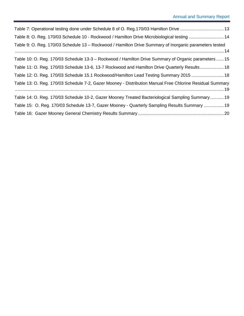| Table 8: O. Reg. 170/03 Schedule 10 - Rockwood / Hamilton Drive Microbiological testing  14              |
|----------------------------------------------------------------------------------------------------------|
| Table 9: O. Reg. 170/03 Schedule 13 – Rockwood / Hamilton Drive Summary of Inorganic parameters tested   |
| Table 10: O. Reg. 170/03 Schedule 13-3 – Rockwood / Hamilton Drive Summary of Organic parameters  15     |
| Table 11: O. Reg. 170/03 Schedule 13-6, 13-7 Rockwood and Hamilton Drive Quarterly Results 18            |
| Table 12: O. Reg. 170/03 Schedule 15.1 Rockwood/Hamilton Lead Testing Summary 2015  18                   |
| Table 13: O. Reg. 170/03 Schedule 7-2, Gazer Mooney - Distribution Manual Free Chlorine Residual Summary |
| Table 14: O. Reg. 170/03 Schedule 10-2, Gazer Mooney Treated Bacteriological Sampling Summary 19         |
| Table 15: O. Reg. 170/03 Schedule 13-7, Gazer Mooney - Quarterly Sampling Results Summary  19            |
|                                                                                                          |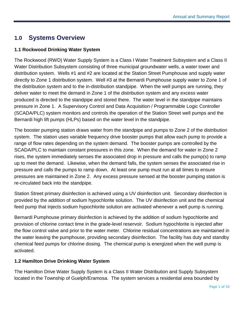# <span id="page-5-0"></span>**1.0 Systems Overview**

#### **1.1 Rockwood Drinking Water System**

The Rockwood (RWD) Water Supply System is a Class I Water Treatment Subsystem and a Class II Water Distribution Subsystem consisting of three municipal groundwater wells, a water tower and distribution system. Wells #1 and #2 are located at the Station Street Pumphouse and supply water directly to Zone 1 distribution system. Well #3 at the Bernardi Pumphouse supply water to Zone 1 of the distribution system and to the in-distribution standpipe. When the well pumps are running, they deliver water to meet the demand in Zone 1 of the distribution system and any excess water produced is directed to the standpipe and stored there. The water level in the standpipe maintains pressure in Zone 1. A Supervisory Control and Data Acquisition / Programmable Logic Controller (SCADA/PLC) system monitors and controls the operation of the Station Street well pumps and the Bernardi high lift pumps (HLPs) based on the water level in the standpipe.

The booster pumping station draws water from the standpipe and pumps to Zone 2 of the distribution system. The station uses variable frequency drive booster pumps that allow each pump to provide a range of flow rates depending on the system demand. The booster pumps are controlled by the SCADA/PLC to maintain constant pressures in this zone. When the demand for water in Zone 2 rises, the system immediately senses the associated drop in pressure and calls the pump(s) to ramp up to meet the demand. Likewise, when the demand falls, the system senses the associated rise in pressure and calls the pumps to ramp down. At least one pump must run at all times to ensure pressures are maintained in Zone 2. Any excess pressure sensed at the booster pumping station is re-circulated back into the standpipe.

Station Street primary disinfection is achieved using a UV disinfection unit. Secondary disinfection is provided by the addition of sodium hypochlorite solution. The UV disinfection unit and the chemical feed pump that injects sodium hypochlorite solution are activated whenever a well pump is running.

Bernardi Pumphouse primary disinfection is achieved by the addition of sodium hypochlorite and provision of chlorine contact time in the grade-level reservoir. Sodium hypochlorite is injected after the flow control valve and prior to the water meter. Chlorine residual concentrations are maintained in the water leaving the pumphouse, providing secondary disinfection. The facility has duty and standby chemical feed pumps for chlorine dosing. The chemical pump is energized when the well pump is activated.

#### **1.2 Hamilton Drive Drinking Water System**

The Hamilton Drive Water Supply System is a Class II Water Distribution and Supply Subsystem located in the Township of Guelph/Eramosa. The system services a residential area bounded by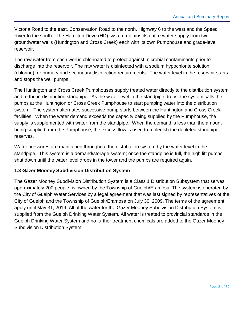Victoria Road to the east, Conservation Road to the north, Highway 6 to the west and the Speed River to the south. The Hamilton Drive (HD) system obtains its entire water supply from two groundwater wells (Huntington and Cross Creek) each with its own Pumphouse and grade-level reservoir.

The raw water from each well is chlorinated to protect against microbial contaminants prior to discharge into the reservoir. The raw water is disinfected with a sodium hypochlorite solution (chlorine) for primary and secondary disinfection requirements. The water level in the reservoir starts and stops the well pumps.

The Huntington and Cross Creek Pumphouses supply treated water directly to the distribution system and to the in-distribution standpipe. As the water level in the standpipe drops, the system calls the pumps at the Huntington or Cross Creek Pumphouse to start pumping water into the distribution system. The system alternates successive pump starts between the Huntington and Cross Creek facilities. When the water demand exceeds the capacity being supplied by the Pumphouse, the supply is supplemented with water from the standpipe. When the demand is less than the amount being supplied from the Pumphouse, the excess flow is used to replenish the depleted standpipe reserves.

Water pressures are maintained throughout the distribution system by the water level in the standpipe. This system is a demand/storage system; once the standpipe is full, the high lift pumps shut down until the water level drops in the tower and the pumps are required again.

#### **1.3 Gazer Mooney Subdivision Distribution System**

The Gazer Mooney Subdivision Distribution System is a Class 1 Distribution Subsystem that serves approximately 200 people, is owned by the Township of Guelph/Eramosa. The system is operated by the City of Guelph Water Services by a legal agreement that was last signed by representatives of the City of Guelph and the Township of Guelph/Eramosa on July 30, 2009. The terms of the agreement apply until May 31, 2019. All of the water for the Gazer Mooney Subdivision Distribution System is supplied from the Guelph Drinking Water System. All water is treated to provincial standards in the Guelph Drinking Water System and no further treatment chemicals are added to the Gazer Mooney Subdivision Distribution System.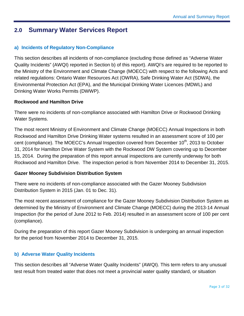# <span id="page-7-0"></span>**2.0 Summary Water Services Report**

### <span id="page-7-1"></span>**a) Incidents of Regulatory Non-Compliance**

This section describes all incidents of non-compliance (excluding those defined as "Adverse Water Quality Incidents" (AWQI) reported in Section b) of this report). AWQI's are required to be reported to the Ministry of the Environment and Climate Change (MOECC) with respect to the following Acts and related regulations: Ontario Water Resources Act (OWRA), Safe Drinking Water Act (SDWA), the Environmental Protection Act (EPA), and the Municipal Drinking Water Licences (MDWL) and Drinking Water Works Permits (DWWP).

#### **Rockwood and Hamilton Drive**

There were no incidents of non-compliance associated with Hamilton Drive or Rockwood Drinking Water Systems.

The most recent Ministry of Environment and Climate Change (MOECC) Annual Inspections in both Rockwood and Hamilton Drive Drinking Water systems resulted in an assessment score of 100 per cent (compliance). The MOECC's Annual Inspection covered from December 10<sup>th</sup>, 2013 to October 31, 2014 for Hamilton Drive Water System with the Rockwood DW System covering up to December 15, 2014. During the preparation of this report annual inspections are currently underway for both Rockwood and Hamilton Drive. The inspection period is from November 2014 to December 31, 2015.

#### **Gazer Mooney Subdivision Distribution System**

There were no incidents of non-compliance associated with the Gazer Mooney Subdivision Distribution System in 2015 (Jan. 01 to Dec. 31).

The most recent assessment of compliance for the Gazer Mooney Subdivision Distribution System as determined by the Ministry of Environment and Climate Change (MOECC) during the 2013-14 Annual Inspection (for the period of June 2012 to Feb. 2014) resulted in an assessment score of 100 per cent (compliance).

During the preparation of this report Gazer Mooney Subdivision is undergoing an annual inspection for the period from November 2014 to December 31, 2015.

#### <span id="page-7-2"></span>**b) Adverse Water Quality Incidents**

This section describes all "Adverse Water Quality Incidents" (AWQI). This term refers to any unusual test result from treated water that does not meet a provincial water quality standard, or situation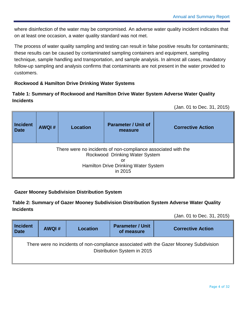where disinfection of the water may be compromised. An adverse water quality incident indicates that on at least one occasion, a water quality standard was not met.

The process of water quality sampling and testing can result in false positive results for contaminants; these results can be caused by contaminated sampling containers and equipment, sampling technique, sample handling and transportation, and sample analysis. In almost all cases, mandatory follow-up sampling and analysis confirms that contaminants are not present in the water provided to customers.

# **Rockwood & Hamilton Drive Drinking Water Systems**

# <span id="page-8-0"></span>**Table 1: Summary of Rockwood and Hamilton Drive Water System Adverse Water Quality Incidents**

(Jan. 01 to Dec. 31, 2015)

| <b>Incident</b><br><b>Date</b> | <b>AWQI#</b>                                                                                                                                             | <b>Location</b> | <b>Parameter / Unit of</b><br>measure | <b>Corrective Action</b> |  |  |  |  |  |
|--------------------------------|----------------------------------------------------------------------------------------------------------------------------------------------------------|-----------------|---------------------------------------|--------------------------|--|--|--|--|--|
|                                | There were no incidents of non-compliance associated with the<br>Rockwood Drinking Water System<br>or<br>Hamilton Drive Drinking Water System<br>in 2015 |                 |                                       |                          |  |  |  |  |  |

#### **Gazer Mooney Subdivision Distribution System**

#### <span id="page-8-1"></span>**Table 2: Summary of Gazer Mooney Subdivision Distribution System Adverse Water Quality Incidents**

(Jan. 01 to Dec. 31, 2015)

| <b>Incident</b><br><b>Date</b> | <b>AWQI#</b> | <b>Location</b> | <b>Parameter / Unit</b><br>of measure | <b>Corrective Action</b>                                                               |
|--------------------------------|--------------|-----------------|---------------------------------------|----------------------------------------------------------------------------------------|
|                                |              |                 | Distribution System in 2015           | There were no incidents of non-compliance associated with the Gazer Mooney Subdivision |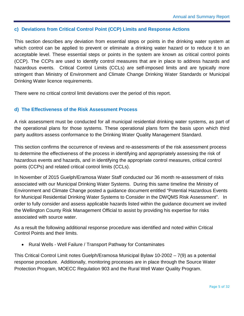#### <span id="page-9-0"></span>**c) Deviations from Critical Control Point (CCP) Limits and Response Actions**

This section describes any deviation from essential steps or points in the drinking water system at which control can be applied to prevent or eliminate a drinking water hazard or to reduce it to an acceptable level. These essential steps or points in the system are known as critical control points (CCP). The CCPs are used to identify control measures that are in place to address hazards and hazardous events. Critical Control Limits (CCLs) are self-imposed limits and are typically more stringent than Ministry of Environment and Climate Change Drinking Water Standards or Municipal Drinking Water licence requirements.

There were no critical control limit deviations over the period of this report.

#### <span id="page-9-1"></span>**d) The Effectiveness of the Risk Assessment Process**

A risk assessment must be conducted for all municipal residential drinking water systems, as part of the operational plans for those systems. These operational plans form the basis upon which third party auditors assess conformance to the Drinking Water Quality Management Standard.

This section confirms the occurrence of reviews and re-assessments of the risk assessment process to determine the effectiveness of the process in identifying and appropriately assessing the risk of hazardous events and hazards, and in identifying the appropriate control measures, critical control points (CCPs) and related critical control limits (CCLs).

In November of 2015 Guelph/Eramosa Water Staff conducted our 36 month re-assessment of risks associated with our Municipal Drinking Water Systems. During this same timeline the Ministry of Environment and Climate Change posted a guidance document entitled "Potential Hazardous Events for Municipal Residential Drinking Water Systems to Consider in the DWQMS Risk Assessment". In order to fully consider and assess applicable hazards listed within the guidance document we invited the Wellington County Risk Management Official to assist by providing his expertise for risks associated with source water.

As a result the following additional response procedure was identified and noted within Critical Control Points and their limits.

• Rural Wells - Well Failure / Transport Pathway for Contaminates

This Critical Control Limit notes Guelph/Eramosa Municipal Bylaw 10-2002 – 7(9) as a potential response procedure. Additionally, monitoring processes are in place through the Source Water Protection Program, MOECC Regulation 903 and the Rural Well Water Quality Program.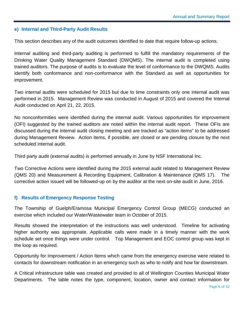#### <span id="page-10-0"></span>**e) Internal and Third-Party Audit Results**

This section describes any of the audit outcomes identified to date that require follow-up actions.

Internal auditing and third-party auditing is performed to fulfill the mandatory requirements of the Drinking Water Quality Management Standard (DWQMS). The internal audit is completed using trained auditors. The purpose of audits is to evaluate the level of conformance to the DWQMS. Audits identify both conformance and non-conformance with the Standard as well as opportunities for improvement.

Two internal audits were scheduled for 2015 but due to time constraints only one internal audit was performed in 2015. Management Review was conducted in August of 2015 and covered the Internal Audit conducted on April 21, 22, 2015.

No nonconformities were identified during the internal audit. Various opportunities for improvement (OFI) suggested by the trained auditors are noted within the internal audit report. These OFIs are discussed during the internal audit closing meeting and are tracked as "action items" to be addressed during Management Review. Action items, if possible, are closed or are pending closure by the next scheduled internal audit.

Third party audit (external audits) is performed annually in June by NSF International Inc.

Two Corrective Actions were identified during the 2015 external audit related to Management Review (QMS 20) and Measurement & Recording Equipment, Calibration & Maintenance (QMS 17). The corrective action issued will be followed-up on by the auditor at the next on-site audit in June, 2016.

#### <span id="page-10-1"></span>**f) Results of Emergency Response Testing**

The Township of Guelph/Eramosa Municipal Emergency Control Group (MECG) conducted an exercise which included our Water/Wastewater team in October of 2015.

Results showed the interpretation of the instructions was well understood. Timeline for activating higher authority was appropriate. Applicable calls were made in a timely manner with the work schedule set once things were under control. Top Management and EOC control group was kept in the loop as required.

Opportunity for Improvement / Action Items which came from the emergency exercise were related to contacts for downstream notification in an emergency such as who to notify and how far downstream.

A Critical infrastructure table was created and provided to all of Wellington Counties Municipal Water Departments. The table notes the type, component, location, owner and contact information for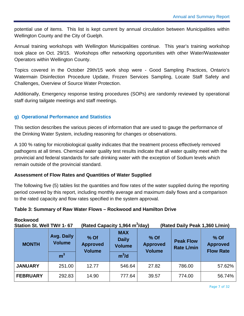potential use of items. This list is kept current by annual circulation between Municipalities within Wellington County and the City of Guelph.

Annual training workshops with Wellington Municipalities continue. This year's training workshop took place on Oct. 29/15. Workshops offer networking opportunities with other Water/Wastewater Operators within Wellington County.

Topics covered in the October 29th/15 work shop were - Good Sampling Practices, Ontario's Watermain Disinfection Procedure Update, Frozen Services Sampling, Locate Staff Safety and Challenges, Overview of Source Water Protection.

Additionally, Emergency response testing procedures (SOPs) are randomly reviewed by operational staff during tailgate meetings and staff meetings.

# <span id="page-11-0"></span>**g) Operational Performance and Statistics**

This section describes the various pieces of information that are used to gauge the performance of the Drinking Water System, including reasoning for changes or observations.

A 100 % rating for microbiological quality indicates that the treatment process effectively removed pathogens at all times. Chemical water quality test results indicate that all water quality meet with the provincial and federal standards for safe drinking water with the exception of Sodium levels which remain outside of the provincial standard.

#### **Assessment of Flow Rates and Quantities of Water Supplied**

The following five (5) tables list the quantities and flow rates of the water supplied during the reporting period covered by this report, including monthly average and maximum daily flows and a comparison to the rated capacity and flow rates specified in the system approval.

#### <span id="page-11-1"></span>**Table 3: Summary of Raw Water Flows – Rockwood and Hamilton Drive**

| Station St. Well TW# 1- 67 |                             | (Rated Capacity 1,964 m <sup>3</sup> /day)<br>(Rated Daily Peak 1,360 L/min) |                                                                                           |       |                                       |                                               |
|----------------------------|-----------------------------|------------------------------------------------------------------------------|-------------------------------------------------------------------------------------------|-------|---------------------------------------|-----------------------------------------------|
| <b>MONTH</b>               | Avg. Daily<br><b>Volume</b> | % Of<br><b>Approved</b><br><b>Volume</b>                                     | <b>MAX</b><br>$%$ Of<br><b>Daily</b><br><b>Approved</b><br><b>Volume</b><br><b>Volume</b> |       | <b>Peak Flow</b><br><b>Rate L/min</b> | $%$ Of<br><b>Approved</b><br><b>Flow Rate</b> |
|                            | m <sup>3</sup>              |                                                                              | $m^3/d$                                                                                   |       |                                       |                                               |
| <b>JANUARY</b>             | 251.00                      | 12.77                                                                        | 546.64                                                                                    | 27.82 | 786.00                                | 57.62%                                        |
| <b>FEBRUARY</b>            | 292.83                      | 14.90                                                                        | 777.64                                                                                    | 39.57 | 774.00                                | 56.74%                                        |

#### **Rockwood**

Page 7 of 32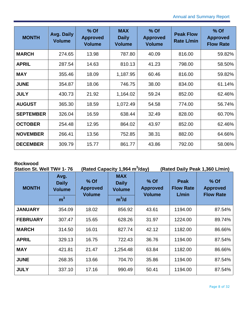| <b>MONTH</b>     | Avg. Daily<br><b>Volume</b> | % Of<br><b>Approved</b><br><b>Volume</b> | <b>MAX</b><br><b>Daily</b><br><b>Volume</b> | % Of<br><b>Approved</b><br><b>Volume</b> | <b>Peak Flow</b><br><b>Rate L/min</b> | % Of<br><b>Approved</b><br><b>Flow Rate</b> |
|------------------|-----------------------------|------------------------------------------|---------------------------------------------|------------------------------------------|---------------------------------------|---------------------------------------------|
| <b>MARCH</b>     | 274.65                      | 13.98                                    | 787.80                                      | 40.09                                    | 816.00                                | 59.82%                                      |
| <b>APRIL</b>     | 287.54                      | 14.63                                    | 810.13                                      | 41.23                                    | 798.00                                | 58.50%                                      |
| <b>MAY</b>       | 355.46                      | 18.09                                    | 1,187.95                                    | 60.46                                    | 816.00                                | 59.82%                                      |
| <b>JUNE</b>      | 354.87                      | 18.06                                    | 746.75                                      | 38.00                                    | 834.00                                | 61.14%                                      |
| <b>JULY</b>      | 430.73                      | 21.92                                    | 1,164.02                                    | 59.24                                    | 852.00                                | 62.46%                                      |
| <b>AUGUST</b>    | 365.30                      | 18.59                                    | 1,072.49                                    | 54.58                                    | 774.00                                | 56.74%                                      |
| <b>SEPTEMBER</b> | 326.04                      | 16.59                                    | 638.44                                      | 32.49                                    | 828.00                                | 60.70%                                      |
| <b>OCTOBER</b>   | 254.48                      | 12.95                                    | 864.02                                      | 43.97                                    | 852.00                                | 62.46%                                      |
| <b>NOVEMBER</b>  | 266.41                      | 13.56                                    | 752.85                                      | 38.31                                    | 882.00                                | 64.66%                                      |
| <b>DECEMBER</b>  | 309.79                      | 15.77                                    | 861.77                                      | 43.86                                    | 792.00                                | 58.06%                                      |

#### **Rockwood**

| Station St. Well TW# 1-76 |                                       |                                          | (Rated Capacity 1,964 m <sup>3</sup> /day)  |                                            | (Rated Daily Peak 1,360 L/min)           |                                             |  |  |
|---------------------------|---------------------------------------|------------------------------------------|---------------------------------------------|--------------------------------------------|------------------------------------------|---------------------------------------------|--|--|
| <b>MONTH</b>              | Avg.<br><b>Daily</b><br><b>Volume</b> | % Of<br><b>Approved</b><br><b>Volume</b> | <b>MAX</b><br><b>Daily</b><br><b>Volume</b> | $%$ Of<br><b>Approved</b><br><b>Volume</b> | <b>Peak</b><br><b>Flow Rate</b><br>L/min | % Of<br><b>Approved</b><br><b>Flow Rate</b> |  |  |
|                           | m <sup>3</sup>                        |                                          | $m^3/d$                                     |                                            |                                          |                                             |  |  |
| <b>JANUARY</b>            | 354.09                                | 18.02                                    | 856.92                                      | 43.61                                      | 1194.00                                  | 87.54%                                      |  |  |
| <b>FEBRUARY</b>           | 307.47                                | 15.65                                    | 628.26                                      | 31.97                                      | 1224.00                                  | 89.74%                                      |  |  |
| <b>MARCH</b>              | 314.50                                | 16.01                                    | 827.74                                      | 42.12                                      | 1182.00                                  | 86.66%                                      |  |  |
| <b>APRIL</b>              | 329.13                                | 16.75                                    | 722.43                                      | 36.76                                      | 1194.00                                  | 87.54%                                      |  |  |
| <b>MAY</b>                | 421.81                                | 21.47                                    | 1,254.48                                    | 63.84                                      | 1182.00                                  | 86.66%                                      |  |  |
| <b>JUNE</b>               | 268.35                                | 13.66                                    | 704.70                                      | 35.86                                      | 1194.00                                  | 87.54%                                      |  |  |
| <b>JULY</b>               | 337.10                                | 17.16                                    | 990.49                                      | 50.41                                      | 1194.00                                  | 87.54%                                      |  |  |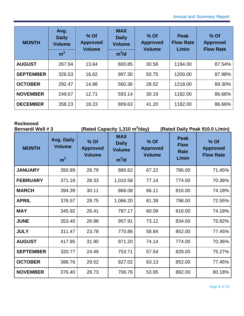| <b>MONTH</b>     | Avg.<br><b>Daily</b><br><b>Volume</b><br>m <sup>3</sup> | $%$ Of<br><b>Approved</b><br><b>Volume</b> | <b>MAX</b><br><b>Daily</b><br><b>Volume</b><br>$m^3/d$ | $%$ Of<br><b>Approved</b><br><b>Volume</b> | <b>Peak</b><br><b>Flow Rate</b><br>L/min | $%$ Of<br><b>Approved</b><br><b>Flow Rate</b> |
|------------------|---------------------------------------------------------|--------------------------------------------|--------------------------------------------------------|--------------------------------------------|------------------------------------------|-----------------------------------------------|
| <b>AUGUST</b>    | 267.94                                                  | 13.64                                      | 600.85                                                 | 30.58                                      | 1194.00                                  | 87.54%                                        |
| <b>SEPTEMBER</b> | 326.53                                                  | 16.62                                      | 997.30                                                 | 50.75                                      | 1200.00                                  | 87.98%                                        |
| <b>OCTOBER</b>   | 292.47                                                  | 14.88                                      | 560.36                                                 | 28.52                                      | 1218.00                                  | 89.30%                                        |
| <b>NOVEMBER</b>  | 249.67                                                  | 12.71                                      | 593.14                                                 | 30.19                                      | 1182.00                                  | 86.66%                                        |
| <b>DECEMBER</b>  | 358.23                                                  | 18.23                                      | 809.63                                                 | 41.20                                      | 1182.00                                  | 86.66%                                        |

# **Rockwood**

| <b>Bernardi Well #3</b> |                                                      |                                          | (Rated Capacity 1,310 m <sup>3</sup> /day)<br>(Rated Daily Peak 910.0 L/min) |                                          |                                             |                                             |
|-------------------------|------------------------------------------------------|------------------------------------------|------------------------------------------------------------------------------|------------------------------------------|---------------------------------------------|---------------------------------------------|
| <b>MONTH</b>            | <b>Avg. Daily</b><br><b>Volume</b><br>m <sup>3</sup> | % Of<br><b>Approved</b><br><b>Volume</b> | <b>MAX</b><br><b>Daily</b><br><b>Volume</b><br>$m^3/d$                       | % Of<br><b>Approved</b><br><b>Volume</b> | <b>Peak</b><br><b>Flow</b><br>Rate<br>L/min | % Of<br><b>Approved</b><br><b>Flow Rate</b> |
| <b>JANUARY</b>          | 350.89                                               | 26.79                                    | 880.62                                                                       | 67.22                                    | 786.00                                      | 71.45%                                      |
| <b>FEBRUARY</b>         | 371.18                                               | 28.33                                    | 1,010.58                                                                     | 77.14                                    | 774.00                                      | 70.36%                                      |
| <b>MARCH</b>            | 394.39                                               | 30.11                                    | 866.08                                                                       | 66.11                                    | 816.00                                      | 74.18%                                      |
| <b>APRIL</b>            | 376.57                                               | 28.75                                    | 1,066.20                                                                     | 81.39                                    | 798.00                                      | 72.55%                                      |
| <b>MAY</b>              | 345.92                                               | 26.41                                    | 787.17                                                                       | 60.09                                    | 816.00                                      | 74.18%                                      |
| <b>JUNE</b>             | 353.40                                               | 26.98                                    | 957.91                                                                       | 73.12                                    | 834.00                                      | 75.82%                                      |
| <b>JULY</b>             | 311.47                                               | 23.78                                    | 770.86                                                                       | 58.84                                    | 852.00                                      | 77.45%                                      |
| <b>AUGUST</b>           | 417.85                                               | 31.90                                    | 971.20                                                                       | 74.14                                    | 774.00                                      | 70.36%                                      |
| <b>SEPTEMBER</b>        | 320.77                                               | 24.49                                    | 753.71                                                                       | 57.54                                    | 828.00                                      | 75.27%                                      |
| <b>OCTOBER</b>          | 386.76                                               | 29.52                                    | 827.02                                                                       | 63.13                                    | 852.00                                      | 77.45%                                      |
| <b>NOVEMBER</b>         | 376.40                                               | 28.73                                    | 706.76                                                                       | 53.95                                    | 882.00                                      | 80.18%                                      |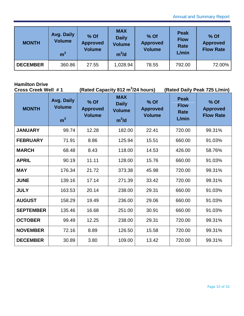| <b>MONTH</b>    | Avg. Daily<br><b>Volume</b><br>m <sup>37</sup> | $%$ Of<br><b>Approved</b><br><b>Volume</b> | <b>MAX</b><br><b>Daily</b><br><b>Volume</b><br>$m^3/d$ | % Of<br><b>Approved</b><br><b>Volume</b> | <b>Peak</b><br><b>Flow</b><br>Rate<br>L/min | % Of<br><b>Approved</b><br><b>Flow Rate</b> |
|-----------------|------------------------------------------------|--------------------------------------------|--------------------------------------------------------|------------------------------------------|---------------------------------------------|---------------------------------------------|
| <b>DECEMBER</b> | 360.86                                         | 27.55                                      | 1,028.94                                               | 78.55                                    | 792.00                                      | 72.00%                                      |

# **Hamilton Drive**

| <b>Cross Creek Well #1</b> |                                               | (Rated Capacity 812 m <sup>3</sup> /24 hours) |                                                        |                                          | (Rated Daily Peak 725 L/min)                       |                                             |
|----------------------------|-----------------------------------------------|-----------------------------------------------|--------------------------------------------------------|------------------------------------------|----------------------------------------------------|---------------------------------------------|
| <b>MONTH</b>               | Avg. Daily<br><b>Volume</b><br>m <sup>3</sup> | % Of<br><b>Approved</b><br><b>Volume</b>      | <b>MAX</b><br><b>Daily</b><br><b>Volume</b><br>$m^3/d$ | % Of<br><b>Approved</b><br><b>Volume</b> | <b>Peak</b><br><b>Flow</b><br><b>Rate</b><br>L/min | % Of<br><b>Approved</b><br><b>Flow Rate</b> |
| <b>JANUARY</b>             | 99.74                                         | 12.28                                         | 182.00                                                 | 22.41                                    | 720.00                                             | 99.31%                                      |
| <b>FEBRUARY</b>            | 71.91                                         | 8.86                                          | 125.94                                                 | 15.51                                    | 660.00                                             | 91.03%                                      |
| <b>MARCH</b>               | 68.48                                         | 8.43                                          | 118.00                                                 | 14.53                                    | 426.00                                             | 58.76%                                      |
| <b>APRIL</b>               | 90.19                                         | 11.11                                         | 128.00                                                 | 15.76                                    | 660.00                                             | 91.03%                                      |
| <b>MAY</b>                 | 176.34                                        | 21.72                                         | 373.38                                                 | 45.98                                    | 720.00                                             | 99.31%                                      |
| <b>JUNE</b>                | 139.16                                        | 17.14                                         | 271.39                                                 | 33.42                                    | 720.00                                             | 99.31%                                      |
| <b>JULY</b>                | 163.53                                        | 20.14                                         | 238.00                                                 | 29.31                                    | 660.00                                             | 91.03%                                      |
| <b>AUGUST</b>              | 158.29                                        | 19.49                                         | 236.00                                                 | 29.06                                    | 660.00                                             | 91.03%                                      |
| <b>SEPTEMBER</b>           | 135.46                                        | 16.68                                         | 251.00                                                 | 30.91                                    | 660.00                                             | 91.03%                                      |
| <b>OCTOBER</b>             | 99.49                                         | 12.25                                         | 238.00                                                 | 29.31                                    | 720.00                                             | 99.31%                                      |
| <b>NOVEMBER</b>            | 72.16                                         | 8.89                                          | 126.50                                                 | 15.58                                    | 720.00                                             | 99.31%                                      |
| <b>DECEMBER</b>            | 30.89                                         | 3.80                                          | 109.00                                                 | 13.42                                    | 720.00                                             | 99.31%                                      |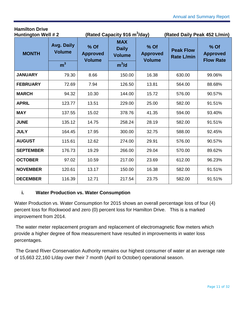| <b>Hamilton Drive</b><br><b>Huntington Well #2</b> |                                               |       | (Rated Capacity 916 m <sup>3</sup> /day)                                                           |       | (Rated Daily Peak 452 L/min)          |                                             |  |
|----------------------------------------------------|-----------------------------------------------|-------|----------------------------------------------------------------------------------------------------|-------|---------------------------------------|---------------------------------------------|--|
| <b>MONTH</b>                                       | Avg. Daily<br><b>Volume</b><br>m <sup>3</sup> |       | <b>MAX</b><br>% Of<br><b>Daily</b><br><b>Approved</b><br><b>Volume</b><br><b>Volume</b><br>$m^3/d$ |       | <b>Peak Flow</b><br><b>Rate L/min</b> | % Of<br><b>Approved</b><br><b>Flow Rate</b> |  |
|                                                    |                                               |       |                                                                                                    |       |                                       |                                             |  |
| <b>JANUARY</b>                                     | 79.30                                         | 8.66  | 150.00                                                                                             | 16.38 | 630.00                                | 99.06%                                      |  |
| <b>FEBRUARY</b>                                    | 72.69                                         | 7.94  | 126.50                                                                                             | 13.81 | 564.00                                | 88.68%                                      |  |
| <b>MARCH</b>                                       | 94.32                                         | 10.30 | 144.00                                                                                             | 15.72 | 576.00                                | 90.57%                                      |  |
| <b>APRIL</b>                                       | 123.77                                        | 13.51 | 229.00                                                                                             | 25.00 | 582.00                                | 91.51%                                      |  |
| <b>MAY</b>                                         | 137.55                                        | 15.02 | 378.76                                                                                             | 41.35 | 594.00                                | 93.40%                                      |  |
| <b>JUNE</b>                                        | 135.12                                        | 14.75 | 258.24                                                                                             | 28.19 | 582.00                                | 91.51%                                      |  |
| <b>JULY</b>                                        | 164.45                                        | 17.95 | 300.00                                                                                             | 32.75 | 588.00                                | 92.45%                                      |  |
| <b>AUGUST</b>                                      | 115.61                                        | 12.62 | 274.00                                                                                             | 29.91 | 576.00                                | 90.57%                                      |  |
| <b>SEPTEMBER</b>                                   | 176.73                                        | 19.29 | 266.00                                                                                             | 29.04 | 570.00                                | 89.62%                                      |  |
| <b>OCTOBER</b>                                     | 97.02                                         | 10.59 | 217.00                                                                                             | 23.69 | 612.00                                | 96.23%                                      |  |
| <b>NOVEMBER</b>                                    | 120.61                                        | 13.17 | 150.00                                                                                             | 16.38 | 582.00                                | 91.51%                                      |  |
| <b>DECEMBER</b>                                    | 116.39                                        | 12.71 | 217.54                                                                                             | 23.75 | 582.00                                | 91.51%                                      |  |

# **i. Water Production vs. Water Consumption**

**Hamilton Drive**

Water Production vs. Water Consumption for 2015 shows an overall percentage loss of four (4) percent loss for Rockwood and zero (0) percent loss for Hamilton Drive. This is a marked improvement from 2014.

The water meter replacement program and replacement of electromagnetic flow meters which provide a higher degree of flow measurement have resulted in improvements in water loss percentages.

The Grand River Conservation Authority remains our highest consumer of water at an average rate of 15,663 22,160 L/day over their 7 month (April to October) operational season.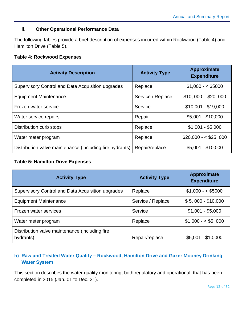#### **ii. Other Operational Performance Data**

The following tables provide a brief description of expenses incurred within Rockwood (Table 4) and Hamilton Drive (Table 5).

#### <span id="page-16-1"></span>**Table 4: Rockwood Expenses**

| <b>Activity Description</b>                              | <b>Activity Type</b> | <b>Approximate</b><br><b>Expenditure</b> |
|----------------------------------------------------------|----------------------|------------------------------------------|
| Supervisory Control and Data Acquisition upgrades        | Replace              | $$1,000 - $5000$                         |
| <b>Equipment Maintenance</b>                             | Service / Replace    | $$10,000 - $20,000$                      |
| Frozen water service                                     | Service              | $$10,001 - $19,000$                      |
| Water service repairs                                    | Repair               | $$5,001 - $10,000$                       |
| Distribution curb stops                                  | Replace              | $$1,001 - $5,000$                        |
| Water meter program                                      | Replace              | $$20,000 - $25,000$                      |
| Distribution valve maintenance (including fire hydrants) | Repair/replace       | $$5,001 - $10,000$                       |

#### <span id="page-16-2"></span>**Table 5: Hamilton Drive Expenses**

| <b>Activity Type</b>                                        | <b>Activity Type</b> | <b>Approximate</b><br><b>Expenditure</b> |
|-------------------------------------------------------------|----------------------|------------------------------------------|
| Supervisory Control and Data Acquisition upgrades           | Replace              | $$1,000 - $5000$                         |
| <b>Equipment Maintenance</b>                                | Service / Replace    | $$5,000 - $10,000$                       |
| Frozen water services                                       | Service              | $$1,001 - $5,000$                        |
| Water meter program                                         | Replace              | $$1,000 - $5,000$                        |
| Distribution valve maintenance (including fire<br>hydrants) | Repair/replace       | $$5,001 - $10,000$                       |

# <span id="page-16-0"></span>**h) Raw and Treated Water Quality – Rockwood, Hamilton Drive and Gazer Mooney Drinking Water System**

This section describes the water quality monitoring, both regulatory and operational, that has been completed in 2015 (Jan. 01 to Dec. 31).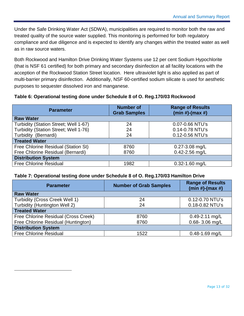Under the Safe Drinking Water Act (SDWA), municipalities are required to monitor both the raw and treated quality of the source water supplied. This monitoring is performed for both regulatory compliance and due diligence and is expected to identify any changes within the treated water as well as in raw source waters.

Both Rockwood and Hamilton Drive Drinking Water Systems use 12 per cent Sodium Hypochlorite (that is NSF 6[1](#page-17-2) certified) for both primary and secondary disinfection at all facility locations with the acception of the Rockwood Station Street location. Here ultraviolet light is also applied as part of multi-barrier primary disinfection. Additionally, NSF 60-certified sodium silicate is used for aesthetic purposes to sequester dissolved iron and manganese.

#### <span id="page-17-0"></span>**Table 6: Operational testing done under Schedule 8 of O. Reg.170/03 Rockwood**

| <b>Parameter</b>                      | <b>Number of</b><br><b>Grab Samples</b> | <b>Range of Results</b><br>$(min #)-(max #)$ |
|---------------------------------------|-----------------------------------------|----------------------------------------------|
| <b>Raw Water</b>                      |                                         |                                              |
| Turbidity (Station Street; Well 1-67) | 24                                      | 0.07-0.66 NTU's                              |
| Turbidity (Station Street; Well 1-76) | 24                                      | 0.14-0.78 NTU's                              |
| Turbidity (Bernardi)                  | 24                                      | 0.12-0.56 NTU's                              |
| <b>Treated Water</b>                  |                                         |                                              |
| Free Chlorine Residual (Station St)   | 8760                                    | $0.27 - 3.08$ mg/L                           |
| Free Chlorine Residual (Bernardi)     | 8760                                    | 0.42-2.56 mg/L                               |
| <b>Distribution System</b>            |                                         |                                              |
| <b>Free Chlorine Residual</b>         | 1982                                    | $0.32 - 1.60$ mg/L                           |

#### <span id="page-17-1"></span>**Table 7: Operational testing done under Schedule 8 of O. Reg.170/03 Hamilton Drive**

<span id="page-17-2"></span>l

| <b>Parameter</b>                      | <b>Number of Grab Samples</b> | <b>Range of Results</b><br>$(min #)-(max #)$ |  |  |
|---------------------------------------|-------------------------------|----------------------------------------------|--|--|
| <b>Raw Water</b>                      |                               |                                              |  |  |
| <b>Turbidity (Cross Creek Well 1)</b> | 24                            | 0.12-0.70 NTU's                              |  |  |
| Turbidity (Huntington Well 2)         | 24                            | 0.18-0.82 NTU's                              |  |  |
| <b>Treated Water</b>                  |                               |                                              |  |  |
| Free Chlorine Residual (Cross Creek)  | 8760                          | $0.49 - 2.11$ mg/L                           |  |  |
| Free Chlorine Residual (Huntington)   | 8760                          | $0.68 - 3.06$ mg/L                           |  |  |
| <b>Distribution System</b>            |                               |                                              |  |  |
| <b>Free Chlorine Residual</b>         | 1522                          | $0.48 - 1.69$ mg/L                           |  |  |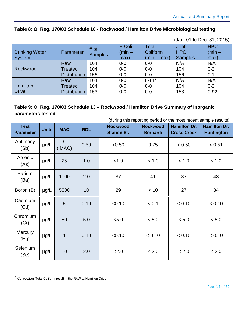### <span id="page-18-0"></span>**Table 8: O. Reg. 170/03 Schedule 10 - Rockwood / Hamilton Drive Microbiological testing**

(Jan. 01 to Dec. 31, 2015)

| <b>Drinking Water</b><br>System | Parameter           | # of<br><b>Samples</b> | E.Coli<br>$(min -$<br>max) | <b>Total</b><br>Coliform<br>$(min - max)$ | # of<br><b>HPC</b><br><b>Samples</b> | <b>HPC</b><br>$(min -$<br>max) |
|---------------------------------|---------------------|------------------------|----------------------------|-------------------------------------------|--------------------------------------|--------------------------------|
|                                 | Raw                 | 104                    | $0-0$                      | $0-0$                                     | N/A                                  | N/A                            |
| Rockwood                        | Treated             | 104                    | $0-0$                      | $0-0$                                     | 104                                  | $0 - 2$                        |
|                                 | <b>Distribution</b> | 156                    | $0-0$                      | $0 - 0$                                   | 156                                  | $0 - 1$                        |
|                                 | Raw                 | 104                    | $0-0$                      | $0 - 11^2$                                | N/A                                  | N/A                            |
| Hamilton                        | Treated             | 104                    | $0-0$                      | $0 - 0$                                   | 104                                  | $0 - 2$                        |
| Drive                           | <b>Distribution</b> | 153                    | $0-0$                      | $0-0$                                     | 153                                  | $0 - 92$                       |

# <span id="page-18-1"></span>**Table 9: O. Reg. 170/03 Schedule 13 – Rockwood / Hamilton Drive Summary of Inorganic parameters tested**

(during this reporting period or the most recent sample results)

| <b>Test</b><br><b>Parameter</b> | <b>Units</b> | <b>MAC</b>  | <b>RDL</b> | <b>Rockwood</b><br><b>Station St.</b> | <b>Rockwood</b><br><b>Bernardi</b> | <b>Hamilton Dr.</b><br><b>Cross Creek</b> | <b>Hamilton Dr.</b><br><b>Huntington</b> |
|---------------------------------|--------------|-------------|------------|---------------------------------------|------------------------------------|-------------------------------------------|------------------------------------------|
| Antimony<br>(Sb)                | $\mu$ g/L    | 6<br>(IMAC) | 0.50       | < 0.50                                | 0.75                               | < 0.50                                    | < 0.51                                   |
| Arsenic<br>(As)                 | $\mu$ g/L    | 25          | 1.0        | < 1.0                                 | < 1.0                              | < 1.0                                     | < 1.0                                    |
| <b>Barium</b><br>(Ba)           | $\mu$ g/L    | 1000        | 2.0        | 87                                    | 41                                 | 37                                        | 43                                       |
| Boron (B)                       | $\mu$ g/L    | 5000        | 10         | 29                                    | < 10                               | 27                                        | 34                                       |
| Cadmium<br>(Cd)                 | $\mu$ g/L    | 5           | 0.10       | < 0.10                                | < 0.1                              | < 0.10                                    | < 0.10                                   |
| Chromium<br>(Cr)                | $\mu$ g/L    | 50          | 5.0        | < 5.0                                 | < 5.0                              | < 5.0                                     | < 5.0                                    |
| <b>Mercury</b><br>(Hg)          | $\mu$ g/L    | 1           | 0.10       | < 0.10                                | < 0.10                             | < 0.10                                    | < 0.10                                   |
| Selenium<br>(Se)                | $\mu$ g/L    | 10          | 2.0        | 2.0                                   | < 2.0                              | < 2.0                                     | < 2.0                                    |

<span id="page-18-2"></span><sup>2</sup> Correction-Total Coliform result in the RAW at Hamilton Drive

i,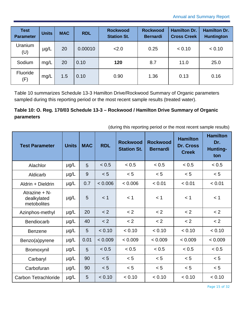| <b>Test</b><br><b>Parameter</b> | <b>Units</b> | <b>MAC</b> | <b>RDL</b> | <b>Rockwood</b><br><b>Station St.</b> | <b>Rockwood</b><br><b>Bernardi</b> | <b>Hamilton Dr.</b><br><b>Cross Creek</b> | <b>Hamilton Dr.</b><br><b>Huntington</b> |
|---------------------------------|--------------|------------|------------|---------------------------------------|------------------------------------|-------------------------------------------|------------------------------------------|
| Uranium<br>(U)                  | $\mu$ g/L    | 20         | 0.00010    | 2.0                                   | 0.25                               | < 0.10                                    | < 0.10                                   |
| Sodium                          | mg/L         | 20         | 0.10       | 120                                   | 8.7                                | 11.0                                      | 25.0                                     |
| Fluoride<br>(F)                 | mg/L         | 1.5        | 0.10       | 0.90                                  | 1.36                               | 0.13                                      | 0.16                                     |

[Table 10](#page-19-0) summarizes Schedule 13-3 Hamilton Drive/Rockwood Summary of Organic parameters sampled during this reporting period or the most recent sample results (treated water).

# <span id="page-19-0"></span>**Table 10: O. Reg. 170/03 Schedule 13-3 – Rockwood / Hamilton Drive Summary of Organic parameters**

|  |  |  |  | (during this reporting period or the most recent sample results) |
|--|--|--|--|------------------------------------------------------------------|
|--|--|--|--|------------------------------------------------------------------|

| <b>Test Parameter</b>                          | <b>Units</b> | <b>MAC</b> | <b>RDL</b> | <b>Rockwood</b><br><b>Station St.</b> | <b>Rockwood</b><br><b>Bernardi</b> | <b>Hamilton</b><br>Dr. Cross<br><b>Creek</b> | <b>Hamilton</b><br>Dr.<br>Hunting-<br>ton |
|------------------------------------------------|--------------|------------|------------|---------------------------------------|------------------------------------|----------------------------------------------|-------------------------------------------|
| Alachlor                                       | $\mu$ g/L    | 5          | < 0.5      | < 0.5                                 | < 0.5                              | < 0.5                                        | < 0.5                                     |
| Aldicarb                                       | $\mu$ g/L    | 9          | < 5        | < 5                                   | < 5                                | < 5                                          | < 5                                       |
| Aldrin + Dieldrin                              | $\mu$ g/L    | 0.7        | 0.006      | < 0.006                               | < 0.01                             | < 0.01                                       | < 0.01                                    |
| Atrazine $+ N$ -<br>dealkylated<br>metobolites | $\mu$ g/L    | 5          | $<$ 1      | < 1                                   | < 1                                | < 1                                          | < 1                                       |
| Azinphos-methyl                                | $\mu$ g/L    | 20         | < 2        | < 2                                   | < 2                                | < 2                                          | < 2                                       |
| Bendiocarb                                     | $\mu$ g/L    | 40         | < 2        | < 2                                   | < 2                                | < 2                                          | < 2                                       |
| <b>Benzene</b>                                 | $\mu$ g/L    | 5          | < 0.10     | < 0.10                                | < 0.10                             | < 0.10                                       | < 0.10                                    |
| Benzo(a)pyrene                                 | $\mu$ g/L    | 0.01       | < 0.009    | < 0.009                               | < 0.009                            | < 0.009                                      | < 0.009                                   |
| Bromoxynil                                     | $\mu$ g/L    | 5          | < 0.5      | < 0.5                                 | < 0.5                              | < 0.5                                        | < 0.5                                     |
| Carbaryl                                       | $\mu$ g/L    | 90         | < 5        | < 5                                   | < 5                                | < 5                                          | < 5                                       |
| Carbofuran                                     | $\mu$ g/L    | 90         | < 5        | < 5                                   | < 5                                | < 5                                          | < 5                                       |
| Carbon Tetrachloride                           | $\mu$ g/L    | 5          | < 0.10     | < 0.10                                | < 0.10                             | < 0.10                                       | < 0.10                                    |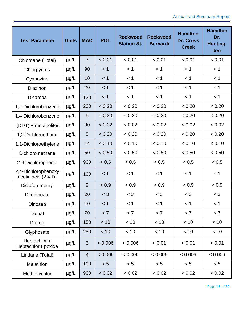| <b>Test Parameter</b>                      | <b>Units</b> | <b>MAC</b>     | <b>RDL</b> | <b>Rockwood</b><br><b>Station St.</b> | <b>Rockwood</b><br><b>Bernardi</b> | <b>Hamilton</b><br>Dr. Cross<br><b>Creek</b> | <b>Hamilton</b><br>Dr.<br><b>Hunting-</b><br>ton |
|--------------------------------------------|--------------|----------------|------------|---------------------------------------|------------------------------------|----------------------------------------------|--------------------------------------------------|
| Chlordane (Total)                          | $\mu$ g/L    | $\overline{7}$ | < 0.01     | < 0.01                                | < 0.01                             | < 0.01                                       | < 0.01                                           |
| Chlorpyrifos                               | $\mu$ g/L    | 90             | < 1        | < 1                                   | < 1                                | < 1                                          | < 1                                              |
| Cyanazine                                  | $\mu$ g/L    | 10             | < 1        | < 1                                   | < 1                                | < 1                                          | < 1                                              |
| Diazinon                                   | $\mu$ g/L    | 20             | $<$ 1      | < 1                                   | < 1                                | < 1                                          | < 1                                              |
| Dicamba                                    | $\mu$ g/L    | 120            | < 1        | < 1                                   | < 1                                | < 1                                          | < 1                                              |
| 1,2-Dichlorobenzene                        | $\mu$ g/L    | 200            | < 0.20     | < 0.20                                | < 0.20                             | < 0.20                                       | < 0.20                                           |
| 1,4-Dichlorobenzene                        | µg/L         | 5              | < 0.20     | < 0.20                                | < 0.20                             | < 0.20                                       | < 0.20                                           |
| (DDT) + metabolites                        | µg/L         | 30             | < 0.02     | < 0.02                                | < 0.02                             | < 0.02                                       | < 0.02                                           |
| 1,2-Dichloroethane                         | µg/L         | 5              | < 0.20     | < 0.20                                | < 0.20                             | < 0.20                                       | < 0.20                                           |
| 1,1-Dichloroethylene                       | $\mu$ g/L    | 14             | < 0.10     | < 0.10                                | < 0.10                             | < 0.10                                       | < 0.10                                           |
| Dichloromethane                            | µg/L         | 50             | < 0.50     | < 0.50                                | < 0.50                             | < 0.50                                       | < 0.50                                           |
| 2-4 Dichlorophenol                         | $\mu$ g/L    | 900            | < 0.5      | < 0.5                                 | < 0.5                              | < 0.5                                        | < 0.5                                            |
| 2,4-Dichlorophenoxy<br>acetic acid (2,4-D) | $\mu$ g/L    | 100            | $<$ 1      | < 1                                   | $<$ 1                              | < 1                                          | < 1                                              |
| Diclofop-methyl                            | $\mu$ g/L    | 9              | < 0.9      | < 0.9                                 | < 0.9                              | < 0.9                                        | < 0.9                                            |
| Dimethoate                                 | $\mu$ g/L    | 20             | $<$ 3      | $<$ 3                                 | $<$ 3                              | $<$ 3                                        | $<$ 3                                            |
| Dinoseb                                    | $\mu$ g/L    | 10             | < 1        | < 1                                   | $<$ 1                              | < 1                                          | < 1                                              |
| Diquat                                     | $\mu$ g/L    | 70             | < 7        | < 7                                   | < 7                                | < 7                                          | < 7                                              |
| Diuron                                     | $\mu$ g/L    | 150            | < 10       | < 10                                  | < 10                               | < 10                                         | < 10                                             |
| Glyphosate                                 | $\mu$ g/L    | 280            | < 10       | < 10                                  | $<10$                              | < 10                                         | < 10                                             |
| Heptachlor +<br><b>Heptachlor Epoxide</b>  | µg/L         | $\mathfrak{S}$ | < 0.006    | < 0.006                               | < 0.01                             | < 0.01                                       | < 0.01                                           |
| Lindane (Total)                            | $\mu$ g/L    | $\overline{4}$ | < 0.006    | 0.006                                 | < 0.006                            | 0.006                                        | 0.006                                            |
| Malathion                                  | $\mu$ g/L    | 190            | < 5        | < 5                                   | < 5                                | < 5                                          | < 5                                              |
| Methoxychlor                               | $\mu$ g/L    | 900            | < 0.02     | < 0.02                                | < 0.02                             | < 0.02                                       | < 0.02                                           |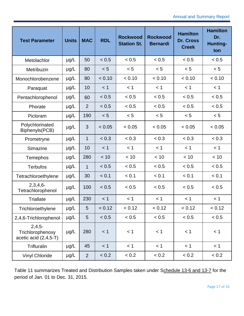| <b>Test Parameter</b>                                   | <b>Units</b> | <b>MAC</b>     | <b>RDL</b> | <b>Rockwood</b><br><b>Station St.</b> | <b>Rockwood</b><br><b>Bernardi</b> | <b>Hamilton</b><br><b>Dr. Cross</b><br><b>Creek</b> | <b>Hamilton</b><br>Dr.<br><b>Hunting-</b><br>ton |
|---------------------------------------------------------|--------------|----------------|------------|---------------------------------------|------------------------------------|-----------------------------------------------------|--------------------------------------------------|
| Metolachlor                                             | $\mu$ g/L    | 50             | < 0.5      | < 0.5                                 | < 0.5                              | < 0.5                                               | < 0.5                                            |
| Metribuzin                                              | $\mu$ g/L    | 80             | < 5        | < 5                                   | < 5                                | < 5                                                 | < 5                                              |
| Monochlorobenzene                                       | $\mu$ g/L    | 80             | < 0.10     | < 0.10                                | < 0.10                             | < 0.10                                              | < 0.10                                           |
| Paraquat                                                | $\mu$ g/L    | 10             | < 1        | < 1                                   | < 1                                | < 1                                                 | < 1                                              |
| Pentachlorophenol                                       | $\mu$ g/L    | 60             | < 0.5      | < 0.5                                 | < 0.5                              | < 0.5                                               | < 0.5                                            |
| Phorate                                                 | $\mu$ g/L    | $\overline{2}$ | < 0.5      | < 0.5                                 | < 0.5                              | < 0.5                                               | < 0.5                                            |
| Picloram                                                | $\mu$ g/L    | 190            | < 5        | < 5                                   | < 5                                | < 5                                                 | < 5                                              |
| Polychlorinated<br>Biphenyls(PCB)                       | $\mu$ g/L    | 3              | < 0.05     | < 0.05                                | < 0.05                             | < 0.05                                              | < 0.05                                           |
| Prometryne                                              | $\mu$ g/L    | $\mathbf{1}$   | < 0.3      | < 0.3                                 | < 0.3                              | < 0.3                                               | < 0.3                                            |
| Simazine                                                | $\mu$ g/L    | 10             | < 1        | < 1                                   | < 1                                | < 1                                                 | < 1                                              |
| Temephos                                                | $\mu$ g/L    | 280            | < 10       | < 10                                  | < 10                               | < 10                                                | < 10                                             |
| <b>Terbufos</b>                                         | $\mu$ g/L    | $\mathbf{1}$   | < 0.5      | < 0.5                                 | < 0.5                              | < 0.5                                               | < 0.5                                            |
| Tetrachloroethylene                                     | $\mu$ g/L    | 30             | < 0.1      | < 0.1                                 | < 0.1                              | < 0.1                                               | < 0.1                                            |
| $2,3,4,6-$<br>Tetrachlorophenol                         | $\mu$ g/L    | 100            | < 0.5      | < 0.5                                 | < 0.5                              | < 0.5                                               | < 0.5                                            |
| <b>Triallate</b>                                        | $\mu$ g/L    | 230            | < 1        | < 1                                   | < 1                                | < 1                                                 | < 1                                              |
| Trichloroethylene                                       | $\mu$ g/L    | 5              | < 0.12     | < 0.12                                | < 0.12                             | < 0.12                                              | < 0.12                                           |
| 2,4,6-Trichlorophenol                                   | $\mu$ g/L    | 5              | < 0.5      | < 0.5                                 | < 0.5                              | < 0.5                                               | < 0.5                                            |
| $2,4,5-$<br>Trichlorophenoxy<br>acetic acid $(2,4,5-T)$ | $\mu$ g/L    | 280            | < 1        | < 1                                   | < 1                                | < 1                                                 | < 1                                              |
| Trifluralin                                             | $\mu$ g/L    | 45             | < 1        | < 1                                   | < 1                                | < 1                                                 | < 1                                              |
| <b>Vinyl Chloride</b>                                   | $\mu$ g/L    | $\overline{2}$ | < 0.2      | < 0.2                                 | < 0.2                              | < 0.2                                               | < 0.2                                            |

[Table 11](#page-22-0) summarizes Treated and Distribution Samples taken under Schedule 13-6 and 13-7 for the period of Jan. 01 to Dec. 31, 2015.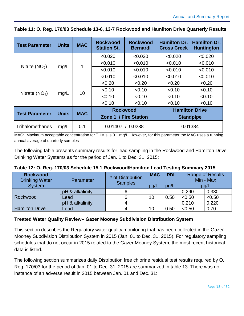| <b>Test Parameter</b>  | <b>Units</b> | <b>MAC</b> | <b>Rockwood</b><br><b>Station St.</b> | <b>Rockwood</b><br><b>Bernardi</b> | <b>Hamilton Dr.</b><br><b>Cross Creek</b> | <b>Hamilton Dr.</b><br><b>Huntington</b> |  |
|------------------------|--------------|------------|---------------------------------------|------------------------------------|-------------------------------------------|------------------------------------------|--|
|                        |              |            | < 0.020                               | < 0.020                            | < 0.020                                   | < 0.020                                  |  |
| Nitrite $(NO2)$        |              | 1          | < 0.010                               | < 0.010                            | < 0.010                                   | < 0.010                                  |  |
|                        | mg/L         |            | < 0.010                               | < 0.010                            | < 0.010                                   | < 0.010                                  |  |
|                        |              |            | < 0.010                               | < 0.010                            | < 0.010                                   | < 0.010                                  |  |
|                        | mg/L         | 10         | < 0.20                                | < 0.20                             | < 0.20                                    | < 0.20                                   |  |
| Nitrate $(NO3)$        |              |            | < 0.10                                | < 0.10                             | < 0.10                                    | < 0.10                                   |  |
|                        |              |            | < 0.10                                | < 0.10                             | < 0.10                                    | < 0.10                                   |  |
|                        |              |            | < 0.10                                | < 0.10                             | < 0.10                                    | < 0.10                                   |  |
| <b>Test Parameter</b>  |              | <b>MAC</b> | <b>Rockwood</b>                       |                                    | <b>Hamilton Drive</b>                     |                                          |  |
|                        | <b>Units</b> |            | Zone 1 / Fire Station                 |                                    | <b>Standpipe</b>                          |                                          |  |
| <b>Trihalomethanes</b> | mg/L         | 0.1        | 0.01407<br>0.0238                     |                                    | 0.01384                                   |                                          |  |

<span id="page-22-0"></span>**Table 11: O. Reg. 170/03 Schedule 13-6, 13-7 Rockwood and Hamilton Drive Quarterly Results**

MAC: Maximum acceptable concentration for THM's is 0.1 mg/L. However, for this parameter the MAC uses a running annual average of quarterly samples

The following table presents summary results for lead sampling in the Rockwood and Hamilton Drive Drinking Water Systems as for the period of Jan. 1 to Dec. 31, 2015:

<span id="page-22-1"></span>

| Table 12: O. Reg. 170/03 Schedule 15.1 Rockwood/Hamilton Lead Testing Summary 2015 |  |  |
|------------------------------------------------------------------------------------|--|--|
|------------------------------------------------------------------------------------|--|--|

| <b>Rockwood</b><br><b>Drinking Water</b> | Parameter       | # of Distribution<br><b>Samples</b> | <b>MAC</b> | <b>RDL</b> |        | <b>Range of Results</b><br>Min - Max |
|------------------------------------------|-----------------|-------------------------------------|------------|------------|--------|--------------------------------------|
| <b>System</b>                            |                 |                                     | $\mu$ g/L  | $\mu$ g/L  | µg/L   |                                      |
|                                          | pH & alkalinity |                                     |            |            | 0.290  | 0.330                                |
| Rockwood                                 | Lead            | 6                                   | 10         | 0.50       | < 0.50 | < 0.50                               |
|                                          | pH & alkalinity |                                     |            |            | 0.210  | 0.220                                |
| <b>Hamilton Drive</b>                    | Lead            | 4                                   | 10         | 0.50       | < 0.50 | 0.70                                 |

#### **Treated Water Quality Review– Gazer Mooney Subdivision Distribution System**

This section describes the Regulatory water quality monitoring that has been collected in the Gazer Mooney Subdivision Distribution System in 2015 (Jan. 01 to Dec. 31, 2015). For regulatory sampling schedules that do not occur in 2015 related to the Gazer Mooney System, the most recent historical data is listed.

The following section summarizes daily Distribution free chlorine residual test results required by O. Reg. 170/03 for the period of Jan. 01 to Dec. 31, 2015 are summarized in table 13. There was no instance of an adverse result in 2015 between Jan. 01 and Dec. 31: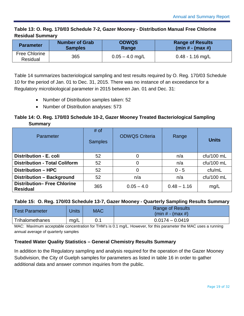### <span id="page-23-0"></span>**Table 13: O. Reg. 170/03 Schedule 7-2, Gazer Mooney - Distribution Manual Free Chlorine Residual Summary**

| <b>Parameter</b>                 | <b>Number of Grab</b> | <b>ODWQS</b>      | <b>Range of Results</b> |  |
|----------------------------------|-----------------------|-------------------|-------------------------|--|
|                                  | <b>Samples</b>        | Range             | (min # - (max #)        |  |
| <b>Free Chlorine</b><br>Residual | 365                   | $0.05 - 4.0$ mg/L | $0.48 - 1.16$ mg/L      |  |

[Table 14](#page-23-1) summarizes bacteriological sampling and test results required by O. Reg. 170/03 Schedule 10 for the period of Jan. 01 to Dec. 31, 2015. There was no instance of an exceedance for a Regulatory microbiological parameter in 2015 between Jan. 01 and Dec. 31:

- Number of Distribution samples taken: 52
- Number of Distribution analyses: 573

# <span id="page-23-1"></span>**Table 14: O. Reg. 170/03 Schedule 10-2, Gazer Mooney Treated Bacteriological Sampling Summary**

| <b>Parameter</b>                                      | $#$ of<br><b>Samples</b> | <b>ODWQS Criteria</b> | Range         | <b>Units</b> |
|-------------------------------------------------------|--------------------------|-----------------------|---------------|--------------|
| Distribution - E. coli                                | 52                       | 0                     | n/a           | $ctu/100$ mL |
| <b>Distribution - Total Coliform</b>                  | 52                       | 0                     | n/a           | cfu/100 mL   |
| <b>Distribution - HPC</b>                             | 52                       | 0                     | $0 - 5$       | ctu/mL       |
| Distribution - Background                             | 52                       | n/a                   | n/a           | $ctu/100$ mL |
| <b>Distribution- Free Chlorine</b><br><b>Residual</b> | 365                      | $0.05 - 4.0$          | $0.48 - 1.16$ | mg/L         |

#### <span id="page-23-2"></span>**Table 15: O. Reg. 170/03 Schedule 13-7, Gazer Mooney - Quarterly Sampling Results Summary**

| <b>Test Parameter</b> | Jnits | <b>MAC</b> | <b>Range of Results</b><br>$(min # - (max #)$ |
|-----------------------|-------|------------|-----------------------------------------------|
| Trihalomethanes       | mg/L  | 0.1        | $0.0174 - 0.0419$                             |

MAC: Maximum acceptable concentration for THM's is 0.1 mg/L. However, for this parameter the MAC uses a running annual average of quarterly samples

# **Treated Water Quality Statistics – General Chemistry Results Summary**

In addition to the Regulatory sampling and analysis required for the operation of the Gazer Mooney Subdivision, the City of Guelph samples for parameters as listed in table 16 in order to gather additional data and answer common inquiries from the public.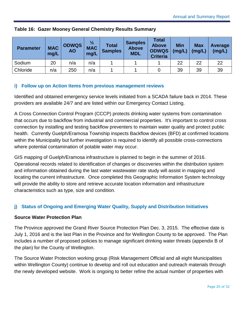| <b>Parameter</b> | <b>MAC</b><br>mg/L | <b>ODWQS</b><br><b>AO</b> | $\frac{1}{2}$<br><b>MAC</b><br>mg/L | <b>Total</b><br><b>Samples</b> | <b>Samples</b><br><b>Above</b><br><b>MDL</b> | Total<br><b>Above</b><br><b>ODWQS</b><br><b>Criteria</b> | <b>Min</b><br>(mg/L) | <b>Max</b><br>(mg/L) | Average<br>(mg/L) |
|------------------|--------------------|---------------------------|-------------------------------------|--------------------------------|----------------------------------------------|----------------------------------------------------------|----------------------|----------------------|-------------------|
| Sodium           | 20                 | n/a                       | n/a                                 |                                |                                              |                                                          | 22                   | 22                   | 22                |
| Chloride         | n/a                | 250                       | n/a                                 |                                |                                              |                                                          | 39                   | 39                   | 39                |

### <span id="page-24-2"></span>**Table 16: Gazer Mooney General Chemistry Results Summary**

#### <span id="page-24-0"></span>**i) Follow up on Action Items from previous management reviews**

Identified and obtained emergency service levels initiated from a SCADA failure back in 2014. These providers are available 24/7 and are listed within our Emergency Contact Listing.

A Cross Connection Control Program (CCCP) protects drinking water systems from contamination that occurs due to backflow from industrial and commercial properties. It's important to control cross connection by installing and testing backflow preventers to maintain water quality and protect public health. Currently Guelph/Eramosa Township inspects Backflow devices (BFD) at confirmed locations within the Municipality but further investigation is required to identify all possible cross-connections where potential contamination of potable water may occur.

GIS mapping of Guelph/Eramosa infrastructure is planned to begin in the summer of 2016. Operational records related to identification of changes or discoveries within the distribution system and information obtained during the last water wastewater rate study will assist in mapping and locating the current infrastructure. Once completed this Geographic Information System technology will provide the ability to store and retrieve accurate location information and infrastructure characteristics such as type, size and condition.

# <span id="page-24-1"></span>**j) Status of Ongoing and Emerging Water Quality, Supply and Distribution Initiatives**

#### **Source Water Protection Plan**

The Province approved the Grand River Source Protection Plan Dec. 3, 2015. The effective date is July 1, 2016 and is the last Plan in the Province and for Wellington County to be approved. The Plan includes a number of proposed policies to manage significant drinking water threats (appendix B of the plan) for the County of Wellington.

The Source Water Protection working group (Risk Management Official and all eight Municipalities within Wellington County) continue to develop and roll out education and outreach materials through the newly developed website. Work is ongoing to better refine the actual number of properties with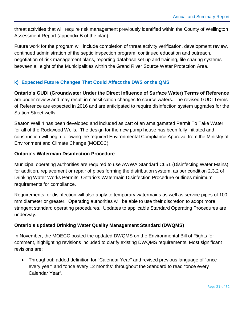threat activities that will require risk management previously identified within the County of Wellington Assessment Report (appendix B of the plan).

Future work for the program will include completion of threat activity verification, development review, continued administration of the septic inspection program, continued education and outreach, negotiation of risk management plans, reporting database set up and training, file sharing systems between all eight of the Municipalities within the Grand River Source Water Protection Area.

### <span id="page-25-0"></span>**k) Expected Future Changes That Could Affect the DWS or the QMS**

**Ontario's GUDI (Groundwater Under the Direct Influence of Surface Water) Terms of Reference** are under review and may result in classification changes to source waters. The revised GUDI Terms of Reference are expected in 2016 and are anticipated to require disinfection system upgrades for the Station Street wells.

Seaton Well 4 has been developed and included as part of an amalgamated Permit To Take Water for all of the Rockwood Wells. The design for the new pump house has been fully initiated and construction will begin following the required Environmental Compliance Approval from the Ministry of Environment and Climate Change (MOECC).

#### **Ontario's Watermain Disinfection Procedure**

Municipal operating authorities are required to use AWWA Standard C651 (Disinfecting Water Mains) for addition, replacement or repair of pipes forming the distribution system, as per condition 2.3.2 of Drinking Water Works Permits. Ontario's Watermain Disinfection Procedure outlines minimum requirements for compliance.

Requirements for disinfection will also apply to temporary watermains as well as service pipes of 100 mm diameter or greater. Operating authorities will be able to use their discretion to adopt more stringent standard operating procedures. Updates to applicable Standard Operating Procedures are underway.

#### **Ontario's updated Drinking Water Quality Management Standard (DWQMS)**

In November, the MOECC posted the updated DWQMS on the Environmental Bill of Rights for comment, highlighting revisions included to clarify existing DWQMS requirements. Most significant revisions are:

• Throughout: added definition for "Calendar Year" and revised previous language of "once every year" and "once every 12 months" throughout the Standard to read "once every Calendar Year".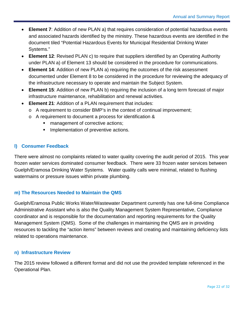- **Element 7**: Addition of new PLAN a) that requires consideration of potential hazardous events and associated hazards identified by the ministry. These hazardous events are identified in the document tiled "Potential Hazardous Events for Municipal Residential Drinking Water Systems."
- **Element 12**: Revised PLAN c) to require that suppliers identified by an Operating Authority under PLAN a) of Element 13 should be considered in the procedure for communications.
- **Element 14**: Addition of new PLAN a) requiring the outcomes of the risk assessment documented under Element 8 to be considered in the procedure for reviewing the adequacy of the infrastructure necessary to operate and maintain the Subject System.
- **Element 15**: Addition of new PLAN b) requiring the inclusion of a long term forecast of major infrastructure maintenance, rehabilitation and renewal activities.
- **Element 21**: Addition of a PLAN requirement that includes:
	- o A requirement to consider BMP's in the context of continual improvement;
	- o A requirement to document a process for identification &
		- **EXEC** management of corrective actions;
		- **Implementation of preventive actions.**

#### <span id="page-26-0"></span>**l) Consumer Feedback**

There were almost no complaints related to water quality covering the audit period of 2015. This year frozen water services dominated consumer feedback. There were 33 frozen water services between Guelph/Eramosa Drinking Water Systems. Water quality calls were minimal, related to flushing watermains or pressure issues within private plumbing.

#### <span id="page-26-1"></span>**m) The Resources Needed to Maintain the QMS**

Guelph/Eramosa Public Works Water/Wastewater Department currently has one full-time Compliance Administrative Assistant who is also the Quality Management System Representative, Compliance coordinator and is responsible for the documentation and reporting requirements for the Quality Management System (QMS). Some of the challenges in maintaining the QMS are in providing resources to tackling the "action items" between reviews and creating and maintaining deficiency lists related to operations maintenance.

#### <span id="page-26-2"></span>**n) Infrastructure Review**

The 2015 review followed a different format and did not use the provided template referenced in the Operational Plan.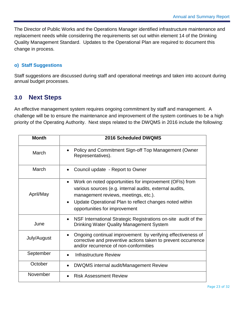The Director of Public Works and the Operations Manager identified infrastructure maintenance and replacement needs while considering the requirements set out within element 14 of the Drinking Quality Management Standard. Updates to the Operational Plan are required to document this change in process.

#### <span id="page-27-0"></span>**o) Staff Suggestions**

Staff suggestions are discussed during staff and operational meetings and taken into account during annual budget processes.

# <span id="page-27-1"></span>**3.0 Next Steps**

An effective management system requires ongoing commitment by staff and management. A challenge will be to ensure the maintenance and improvement of the system continues to be a high priority of the Operating Authority. Next steps related to the DWQMS in 2016 include the following:

| <b>Month</b> | 2016 Scheduled DWQMS                                                                                                                                                                                                                                   |
|--------------|--------------------------------------------------------------------------------------------------------------------------------------------------------------------------------------------------------------------------------------------------------|
| March        | Policy and Commitment Sign-off Top Management (Owner<br>Representatives).                                                                                                                                                                              |
| March        | Council update - Report to Owner                                                                                                                                                                                                                       |
| April/May    | Work on noted opportunities for improvement (OFIs) from<br>various sources (e.g. internal audits, external audits,<br>management reviews, meetings, etc.).<br>Update Operational Plan to reflect changes noted within<br>opportunities for improvement |
| June         | NSF International Strategic Registrations on-site audit of the<br>$\bullet$<br><b>Drinking Water Quality Management System</b>                                                                                                                         |
| July/August  | Ongoing continual improvement by verifying effectiveness of<br>corrective and preventive actions taken to prevent occurrence<br>and/or recurrence of non-conformities                                                                                  |
| September    | Infrastructure Review                                                                                                                                                                                                                                  |
| October      | DWQMS internal audit/Management Review                                                                                                                                                                                                                 |
| November     | <b>Risk Assessment Review</b>                                                                                                                                                                                                                          |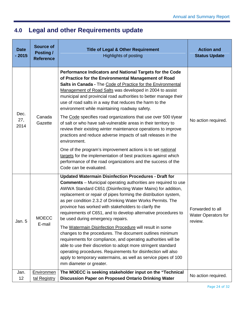# <span id="page-28-0"></span>**4.0 Legal and other Requirements update**

| <b>Date</b><br>$-2015$ | <b>Source of</b><br>Posting /<br><b>Reference</b> | <b>Title of Legal &amp; Other Requirement</b><br><b>Highlights of posting</b>                                                                                                                                                                                                                                                                                                                                                                                                                         | <b>Action and</b><br><b>Status Update</b>                 |
|------------------------|---------------------------------------------------|-------------------------------------------------------------------------------------------------------------------------------------------------------------------------------------------------------------------------------------------------------------------------------------------------------------------------------------------------------------------------------------------------------------------------------------------------------------------------------------------------------|-----------------------------------------------------------|
| Dec.<br>27,            | Canada<br>Gazette                                 | Performance Indicators and National Targets for the Code<br>of Practice for the Environmental Management of Road<br>Salts in Canada - The Code of Practice for the Environmental<br>Management of Road Salts was developed in 2004 to assist<br>municipal and provincial road authorities to better manage their<br>use of road salts in a way that reduces the harm to the<br>environment while maintaining roadway safety.<br>The Code specifies road organizations that use over 500 t/year        | No action required.                                       |
| 2014                   |                                                   | of salt or who have salt-vulnerable areas in their territory to<br>review their existing winter maintenance operations to improve<br>practices and reduce adverse impacts of salt releases in the<br>environment.                                                                                                                                                                                                                                                                                     |                                                           |
|                        |                                                   | One of the program's improvement actions is to set national<br>targets for the implementation of best practices against which<br>performance of the road organizations and the success of the<br>Code can be evaluated.                                                                                                                                                                                                                                                                               |                                                           |
| Jan. 5                 | <b>MOECC</b>                                      | <b>Updated Watermain Disinfection Procedures - Draft for</b><br><b>Comments</b> – Municipal operating authorities are required to use<br>AWWA Standard C651 (Disinfecting Water Mains) for addition,<br>replacement or repair of pipes forming the distribution system,<br>as per condition 2.3.2 of Drinking Water Works Permits. The<br>province has worked with stakeholders to clarify the<br>requirements of C651, and to develop alternative procedures to<br>be used during emergency repairs. | Forwarded to all<br><b>Water Operators for</b><br>review. |
|                        | E-mail                                            | The Watermain Disinfection Procedure will result in some<br>changes to the procedures. The document outlines minimum<br>requirements for compliance, and operating authorities will be<br>able to use their discretion to adopt more stringent standard<br>operating procedures. Requirements for disinfection will also<br>apply to temporary watermains, as well as service pipes of 100<br>mm diameter or greater.                                                                                 |                                                           |
| Jan.<br>12             | Environmen<br>tal Registry                        | The MOECC is seeking stakeholder input on the "Technical<br><b>Discussion Paper on Proposed Ontario Drinking Water</b>                                                                                                                                                                                                                                                                                                                                                                                | No action required.                                       |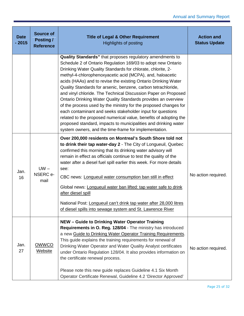| <b>Date</b><br>2015 | <b>Source of</b><br>Posting /<br><b>Reference</b> | <b>Title of Legal &amp; Other Requirement</b><br><b>Highlights of posting</b>                                                                                                                                                                                                                                                                                                                                                                                                                                                                                                                                                                                                                                                                                                                                                                                  | <b>Action and</b><br><b>Status Update</b> |
|---------------------|---------------------------------------------------|----------------------------------------------------------------------------------------------------------------------------------------------------------------------------------------------------------------------------------------------------------------------------------------------------------------------------------------------------------------------------------------------------------------------------------------------------------------------------------------------------------------------------------------------------------------------------------------------------------------------------------------------------------------------------------------------------------------------------------------------------------------------------------------------------------------------------------------------------------------|-------------------------------------------|
|                     |                                                   | Quality Standards" that proposes regulatory amendments to<br>Schedule 2 of Ontario Regulation 169/03 to adopt new Ontario<br>Drinking Water Quality Standards for chlorate, chlorite, 2-<br>methyl-4-chlorophenoxyacetic acid (MCPA), and, haloacetic<br>acids (HAAs) and to revise the existing Ontario Drinking Water<br>Quality Standards for arsenic, benzene, carbon tetrachloride,<br>and vinyl chloride. The Technical Discussion Paper on Proposed<br>Ontario Drinking Water Quality Standards provides an overview<br>of the process used by the ministry for the proposed changes for<br>each contaminant and seeks stakeholder input for questions<br>related to the proposed numerical value, benefits of adopting the<br>proposed standard, impacts to municipalities and drinking water<br>system owners, and the time-frame for implementation. |                                           |
| Jan.<br>16          | $UW -$<br>NSERC e-<br>mail                        | Over 200,000 residents on Montreal's South Shore told not<br>to drink their tap water-day 2 - The City of Longueuil, Quebec<br>confirmed this morning that its drinking water advisory will<br>remain in effect as officials continue to test the quality of the<br>water after a diesel fuel spill earlier this week. For more details<br>see:<br>CBC news: Longueuil water consumption ban still in effect<br>Global news: Longueuil water ban lifted: tap water safe to drink<br>after diesel spill<br>National Post: Longueuil can't drink tap water after 28,000 litres<br>of diesel spills into sewage system and St. Lawrence River                                                                                                                                                                                                                     | No action required.                       |
| Jan.<br>27          | OWWCO<br><b>Website</b>                           | NEW - Guide to Drinking Water Operator Training<br>Requirements in O. Reg. 128/04 - The ministry has introduced<br>a new Guide to Drinking Water Operator Training Requirements.<br>This guide explains the training requirements for renewal of<br>Drinking Water Operator and Water Quality Analyst certificates<br>under Ontario Regulation 128/04. It also provides information on<br>the certificate renewal process.<br>Please note this new guide replaces Guideline 4.1 Six Month<br>Operator Certificate Renewal, Guideline 4.2 'Director Approved'                                                                                                                                                                                                                                                                                                   | No action required.                       |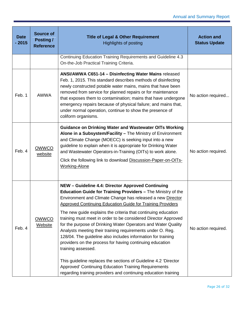| <b>Date</b><br>$-2015$ | <b>Source of</b><br>Posting /<br><b>Reference</b> | <b>Title of Legal &amp; Other Requirement</b><br><b>Highlights of posting</b>                                                                                                                                                                                                                                                                                                                                                                                                                                                                                                                                                                                                                                                                                                                                                                                  | <b>Action and</b><br><b>Status Update</b> |
|------------------------|---------------------------------------------------|----------------------------------------------------------------------------------------------------------------------------------------------------------------------------------------------------------------------------------------------------------------------------------------------------------------------------------------------------------------------------------------------------------------------------------------------------------------------------------------------------------------------------------------------------------------------------------------------------------------------------------------------------------------------------------------------------------------------------------------------------------------------------------------------------------------------------------------------------------------|-------------------------------------------|
|                        |                                                   | Continuing Education Training Requirements and Guideline 4.3<br>On-the-Job Practical Training Criteria.                                                                                                                                                                                                                                                                                                                                                                                                                                                                                                                                                                                                                                                                                                                                                        |                                           |
| Feb. 1                 | <b>AWWA</b>                                       | ANSI/AWWA C651-14 - Disinfecting Water Mains released<br>Feb. 1, 2015. This standard describes methods of disinfecting<br>newly constructed potable water mains, mains that have been<br>removed from service for planned repairs or for maintenance<br>that exposes them to contamination; mains that have undergone<br>emergency repairs because of physical failure; and mains that,<br>under normal operation, continue to show the presence of<br>coliform organisms.                                                                                                                                                                                                                                                                                                                                                                                     | No action required                        |
| Feb. 4                 | OWWCO<br>website                                  | <b>Guidance on Drinking Water and Wastewater OITs Working</b><br>Alone in a Subsystem/Facility - The Ministry of Environment<br>and Climate Change (MOECC) is seeking input into a new<br>guideline to explain when it is appropriate for Drinking Water<br>and Wastewater Operators-in-Training (OITs) to work alone.<br>Click the following link to download Discussion-Paper-on-OITs-<br><b>Working-Alone</b>                                                                                                                                                                                                                                                                                                                                                                                                                                               | No action required.                       |
| Feb. 4                 | OWWCO<br><b>Website</b>                           | NEW - Guideline 4.4: Director Approved Continuing<br>Education Guide for Training Providers - The Ministry of the<br>Environment and Climate Change has released a new Director<br>Approved Continuing Education Guide for Training Providers<br>The new guide explains the criteria that continuing education<br>training must meet in order to be considered Director Approved<br>for the purpose of Drinking Water Operators and Water Quality<br>Analysts meeting their training requirements under O. Reg.<br>128/04. The guideline also includes information for training<br>providers on the process for having continuing education<br>training assessed.<br>This guideline replaces the sections of Guideline 4.2 'Director<br>Approved' Continuing Education Training Requirements<br>regarding training providers and continuing education training | No action required.                       |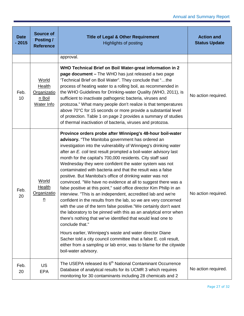| <b>Date</b><br>$-2015$ | <b>Source of</b><br>Posting /<br><b>Reference</b>                    | <b>Title of Legal &amp; Other Requirement</b><br><b>Highlights of posting</b>                                                                                                                                                                                                                                                                                                                                                                                                                                                                                                                                                                                                                                                                                                                                                                                                                                                                                                                                                                                                                                                                                                                                                                     | <b>Action and</b><br><b>Status Update</b> |
|------------------------|----------------------------------------------------------------------|---------------------------------------------------------------------------------------------------------------------------------------------------------------------------------------------------------------------------------------------------------------------------------------------------------------------------------------------------------------------------------------------------------------------------------------------------------------------------------------------------------------------------------------------------------------------------------------------------------------------------------------------------------------------------------------------------------------------------------------------------------------------------------------------------------------------------------------------------------------------------------------------------------------------------------------------------------------------------------------------------------------------------------------------------------------------------------------------------------------------------------------------------------------------------------------------------------------------------------------------------|-------------------------------------------|
|                        |                                                                      | approval.                                                                                                                                                                                                                                                                                                                                                                                                                                                                                                                                                                                                                                                                                                                                                                                                                                                                                                                                                                                                                                                                                                                                                                                                                                         |                                           |
| Feb.<br>10             | <b>World</b><br><b>Health</b><br>Organizatio<br>n Boil<br>Water Info | WHO Technical Brief on Boil Water-great information in 2<br>page document - The WHO has just released a two page<br>'Technical Brief on Boil Water". They conclude that "the<br>process of heating water to a rolling boil, as recommended in<br>the WHO Guidelines for Drinking-water Quality (WHO, 2011), is<br>sufficient to inactivate pathogenic bacteria, viruses and<br>protozoa." What many people don't realize is that temperatures<br>above 70°C for 15 seconds or more provide a substantial level<br>of protection. Table 1 on page 2 provides a summary of studies<br>of thermal inactivation of bacteria, viruses and protozoa.                                                                                                                                                                                                                                                                                                                                                                                                                                                                                                                                                                                                    | No action required.                       |
| Feb.<br>20             | World<br><b>Health</b><br>Organizatio<br>$\underline{n}$             | Province orders probe after Winnipeg's 48-hour boil-water<br>advisory. "The Manitoba government has ordered an<br>investigation into the vulnerability of Winnipeg's drinking water<br>after an E. coli test result prompted a boil-water advisory last<br>month for the capital's 700,000 residents. City staff said<br>Wednesday they were confident the water system was not<br>contaminated with bacteria and that the result was a false<br>positive. But Manitoba's office of drinking water was not<br>convinced. "We have no evidence at all to suggest there was a<br>false positive at this point," said office director Kim Philip in an<br>interview. "This is an independent, accredited lab and we're<br>confident in the results from the lab, so we are very concerned<br>with the use of the term false positive."We certainly don't want<br>the laboratory to be pinned with this as an analytical error when<br>there's nothing that we've identified that would lead one to<br>conclude that."<br>Hours earlier, Winnipeg's waste and water director Diane<br>Sacher told a city council committee that a false E. coli result,<br>either from a sampling or lab error, was to blame for the citywide<br>boil-water advisory. | No action required.                       |
| Feb.<br>20             | <b>US</b><br><b>EPA</b>                                              | The USEPA released its 6 <sup>th</sup> National Contaminant Occurrence<br>Database of analytical results for its UCMR 3 which requires<br>monitoring for 30 contaminants including 28 chemicals and 2                                                                                                                                                                                                                                                                                                                                                                                                                                                                                                                                                                                                                                                                                                                                                                                                                                                                                                                                                                                                                                             | No action required.                       |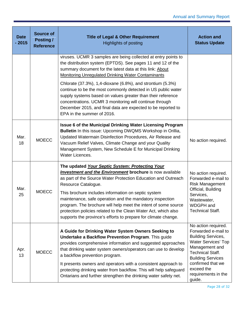| <b>Date</b><br>$-2015$ | <b>Source of</b><br><b>Posting /</b><br><b>Reference</b> | <b>Title of Legal &amp; Other Requirement</b><br><b>Highlights of posting</b>                                                                                                                                                                                                                                                                                                                                                                                                                                                       | <b>Action and</b><br><b>Status Update</b>                                                                                                                                                                                                          |
|------------------------|----------------------------------------------------------|-------------------------------------------------------------------------------------------------------------------------------------------------------------------------------------------------------------------------------------------------------------------------------------------------------------------------------------------------------------------------------------------------------------------------------------------------------------------------------------------------------------------------------------|----------------------------------------------------------------------------------------------------------------------------------------------------------------------------------------------------------------------------------------------------|
|                        |                                                          | viruses. UCMR 3 samples are being collected at entry points to<br>the distribution system (EPTDS). See pages 11 and 12 of the<br>summary document for the latest data at this link: About<br><b>Monitoring Unregulated Drinking Water Contaminants</b>                                                                                                                                                                                                                                                                              |                                                                                                                                                                                                                                                    |
|                        |                                                          | Chlorate (37.3%), 1,4-dioxane (6.8%), and strontium (5.3%)<br>continue to be the most commonly detected in US public water<br>supply systems based on values greater than their reference<br>concentrations. UCMR 3 monitoring will continue through<br>December 2015, and final data are expected to be reported to<br>EPA in the summer of 2016.                                                                                                                                                                                  |                                                                                                                                                                                                                                                    |
| Mar.<br>18             | <b>MOECC</b>                                             | <b>Issue 6 of the Municipal Drinking Water Licensing Program</b><br>Bulletin In this issue: Upcoming DWQMS Workshop in Orillia,<br>Updated Watermain Disinfection Procedures, Air Release and<br>Vacuum Relief Valves, Climate Change and your Quality<br>Management System, New Schedule E for Municipal Drinking<br>Water Licences.                                                                                                                                                                                               | No action required.                                                                                                                                                                                                                                |
| Mar.<br>25             | <b>MOECC</b>                                             | The updated Your Septic System: Protecting Your<br><b>Investment and the Environment brochure</b> is now available<br>as part of the Source Water Protection Education and Outreach<br>Resource Catalogue.<br>This brochure includes information on septic system<br>maintenance, safe operation and the mandatory inspection<br>program. The brochure will help meet the intent of some source<br>protection policies related to the Clean Water Act, which also<br>supports the province's efforts to prepare for climate change. | No action required.<br>Forwarded e-mail to<br><b>Risk Management</b><br>Official, Building<br>Services,<br>Wastewater,<br>WDGPH and<br><b>Technical Staff.</b>                                                                                     |
| Apr.<br>13             | <b>MOECC</b>                                             | A Guide for Drinking Water System Owners Seeking to<br><b>Undertake a Backflow Prevention Program.</b> This guide<br>provides comprehensive information and suggested approaches<br>that drinking water system owners/operators can use to develop<br>a backflow prevention program.<br>It presents owners and operators with a consistent approach to<br>protecting drinking water from backflow. This will help safeguard<br>Ontarians and further strengthen the drinking water safety net.                                      | No action required.<br>Forwarded e-mail to<br><b>Building Services,</b><br><b>Water Services' Top</b><br>Management and<br><b>Technical Staff.</b><br><b>Building Services</b><br>confirmed that we<br>exceed the<br>requirements in the<br>guide. |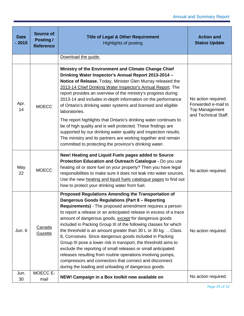| <b>Date</b><br>$-2015$ | <b>Source of</b><br>Posting /<br><b>Reference</b> | <b>Title of Legal &amp; Other Requirement</b><br><b>Highlights of posting</b>                                                                                                                                                                                                                                                                                                                                                                                                                                                                                                                                                                                                                                                                                                                                          | <b>Action and</b><br><b>Status Update</b>                                                   |
|------------------------|---------------------------------------------------|------------------------------------------------------------------------------------------------------------------------------------------------------------------------------------------------------------------------------------------------------------------------------------------------------------------------------------------------------------------------------------------------------------------------------------------------------------------------------------------------------------------------------------------------------------------------------------------------------------------------------------------------------------------------------------------------------------------------------------------------------------------------------------------------------------------------|---------------------------------------------------------------------------------------------|
|                        |                                                   | Download the guide.                                                                                                                                                                                                                                                                                                                                                                                                                                                                                                                                                                                                                                                                                                                                                                                                    |                                                                                             |
| Apr.<br>14             | <b>MOECC</b>                                      | Ministry of the Environment and Climate Change Chief<br>Drinking Water Inspector's Annual Report 2013-2014 -<br>Notice of Release. Today, Minister Glen Murray released the<br>2013-14 Chief Drinking Water Inspector's Annual Report. The<br>report provides an overview of the ministry's progress during<br>2013-14 and includes in-depth information on the performance<br>of Ontario's drinking water systems and licensed and eligible<br>laboratories.<br>The report highlights that Ontario's drinking water continues to<br>be of high quality and is well protected. These findings are<br>supported by our drinking water quality and inspection results.<br>The ministry and its partners are working together and remain<br>committed to protecting the province's drinking water.                        | No action required.<br>Forwarded e-mail to<br><b>Top Management</b><br>and Technical Staff. |
| May<br>22              | <b>MOECC</b>                                      | New! Heating and Liquid Fuels pages added to Source<br>Protection Education and Outreach Catalogue - Do you use<br>heating oil or store fuel on your property? Then you have legal<br>responsibilities to make sure it does not leak into water sources.<br>Use the new heating and liquid fuels catalogue pages to find out<br>how to protect your drinking water from fuel.                                                                                                                                                                                                                                                                                                                                                                                                                                          | No action required.                                                                         |
| Jun. 6                 | Canada<br>Gazette                                 | Proposed Regulations Amending the Transportation of<br>Dangerous Goods Regulations (Part 8 - Reporting<br>Requirements) - The proposed amendment requires a person<br>to report a release or an anticipated release in excess of a trace<br>amount of dangerous goods, except for dangerous goods<br>included in Packing Group III of the following classes for which<br>the threshold is an amount greater than 30 L or 30 kg:  Class<br>8, Corrosives. Since dangerous goods included in Packing<br>Group III pose a lower risk in transport, the threshold aims to<br>exclude the reporting of small releases or small anticipated<br>releases resulting from routine operations involving pumps,<br>compressors and connectors that connect and disconnect<br>during the loading and unloading of dangerous goods. | No action required.                                                                         |
| Jun.<br>30             | MOECC E-<br>mail                                  | NEW! Campaign in a Box toolkit now available on                                                                                                                                                                                                                                                                                                                                                                                                                                                                                                                                                                                                                                                                                                                                                                        | No action required.                                                                         |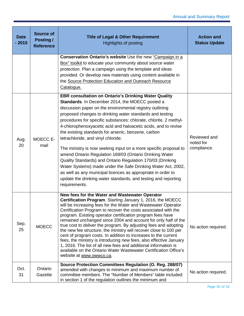| <b>Date</b><br>$-2015$ | <b>Source of</b><br>Posting /<br><b>Reference</b> | <b>Title of Legal &amp; Other Requirement</b><br><b>Highlights of posting</b>                                                                                                                                                                                                                                                                                                                                                                                                                                                                                                                                                                                                                                                                                                                                                                                                              | <b>Action and</b><br><b>Status Update</b> |
|------------------------|---------------------------------------------------|--------------------------------------------------------------------------------------------------------------------------------------------------------------------------------------------------------------------------------------------------------------------------------------------------------------------------------------------------------------------------------------------------------------------------------------------------------------------------------------------------------------------------------------------------------------------------------------------------------------------------------------------------------------------------------------------------------------------------------------------------------------------------------------------------------------------------------------------------------------------------------------------|-------------------------------------------|
|                        |                                                   | Conservation Ontario's website Use the new "Campaign in a<br>Box" toolkit to educate your community about source water<br>protection. Plan a campaign using the template and ideas<br>provided. Or develop new materials using content available in<br>the Source Protection Education and Outreach Resource<br>Catalogue.                                                                                                                                                                                                                                                                                                                                                                                                                                                                                                                                                                 |                                           |
| Aug.<br>20             | MOECC E-<br>mail                                  | <b>EBR consultation on Ontario's Drinking Water Quality</b><br>Standards. In December 2014, the MOECC posted a<br>discussion paper on the environmental registry outlining<br>proposed changes to drinking water standards and testing<br>procedures for specific substances: chlorate, chlorite, 2 methyl-<br>4-chlorophenoxyacetic acid and haloacetic acids, and to revise<br>the existing standards for arsenic, benzene, carbon<br>tetrachloride, and vinyl chloride.<br>The ministry is now seeking input on a more specific proposal to<br>amend Ontario Regulation 169/03 (Ontario Drinking Water<br>Quality Standards) and Ontario Regulation 170/03 (Drinking<br>Water Systems) made under the Safe Drinking Water Act, 2002,<br>as well as any municipal licences as appropriate in order to<br>update the drinking water standards, and testing and reporting<br>requirements. | Reviewed and<br>noted for<br>compliance.  |
| Sep.<br>25             | <b>MOECC</b>                                      | New fees for the Water and Wastewater Operator<br>Certification Program. Starting January 1, 2016, the MOECC<br>will be increasing fees for the Water and Wastewater Operator<br>Certification Program to recover the costs associated with the<br>program. Existing operator certification program fees have<br>remained unchanged since 2004 and account for only half of the<br>true cost to deliver the program. By adjusting fees and adopting<br>the new fee structure, the ministry will recover close to 100 per<br>cent of program costs. In addition to increases to the current<br>fees, the ministry is introducing new fees, also effective January<br>1, 2016. The list of all new fees and additional information is<br>available on the Ontario Water Wastewater Certification Office's<br>website at www.owwco.ca.                                                        | No action required.                       |
| Oct.<br>31             | Ontario<br>Gazette                                | Source Protection Committees Regulation (O. Reg. 288/07)<br>amended with changes to minimum and maximum number of<br>committee members. The "Number of Members" table included<br>in section 1 of the regulation outlines the minimum and                                                                                                                                                                                                                                                                                                                                                                                                                                                                                                                                                                                                                                                  | No action required.                       |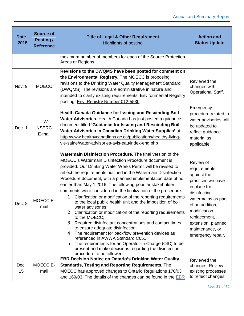| <b>Date</b><br>$-2015$ | <b>Source of</b><br><b>Posting /</b><br><b>Reference</b> | <b>Title of Legal &amp; Other Requirement</b><br><b>Highlights of posting</b>                                                                                                                                                                                                                                                                                                                                                                                                                                                                                                                                                                                                                                                                                                                                                                                                                                                                                                                                                                          | <b>Action and</b><br><b>Status Update</b>                                                                                                                                                                                             |
|------------------------|----------------------------------------------------------|--------------------------------------------------------------------------------------------------------------------------------------------------------------------------------------------------------------------------------------------------------------------------------------------------------------------------------------------------------------------------------------------------------------------------------------------------------------------------------------------------------------------------------------------------------------------------------------------------------------------------------------------------------------------------------------------------------------------------------------------------------------------------------------------------------------------------------------------------------------------------------------------------------------------------------------------------------------------------------------------------------------------------------------------------------|---------------------------------------------------------------------------------------------------------------------------------------------------------------------------------------------------------------------------------------|
|                        |                                                          | maximum number of members for each of the Source Protection<br>Areas or Regions.                                                                                                                                                                                                                                                                                                                                                                                                                                                                                                                                                                                                                                                                                                                                                                                                                                                                                                                                                                       |                                                                                                                                                                                                                                       |
| Nov. 9                 | <b>MOECC</b>                                             | Revisions to the DWQMS have been posted for comment on<br>the Environmental Registry. The MOECC is proposing<br>revisions to the Drinking Water Quality Management Standard<br>(DWQMS). The revisions are administrative in nature and<br>intended to clarify existing requirements. Environmental Registry<br>posting: Env. Registry Number 012-5530.                                                                                                                                                                                                                                                                                                                                                                                                                                                                                                                                                                                                                                                                                                 | Reviewed the<br>changes with<br><b>Operational Staff.</b>                                                                                                                                                                             |
| Dec. 1                 | <b>UW</b><br><b>NSERC</b><br>E-mail                      | Health Canada Guidance for Issuing and Rescinding Boil<br>Water Advisories. Health Canada has just posted a guidance<br>document titled 'Guidance for Issuing and Rescinding Boil<br>Water Advisories in Canadian Drinking Water Supplies' at:<br>http://www.healthycanadians.gc.ca/publications/healthy-living-<br>vie-saine/water-advisories-avis-eau/index-eng.php                                                                                                                                                                                                                                                                                                                                                                                                                                                                                                                                                                                                                                                                                  | Emergency<br>procedure related to<br>water advisories will<br>be updated to<br>reflect guidance<br>material as<br>applicable.                                                                                                         |
| Dec. 8                 | MOECC E-<br>mail                                         | Watermain Disinfection Procedure. The final version of the<br><b>MOECC's Watermain Disinfection Procedure document is</b><br>provided. Our Drinking Water Works Permit will be revised to<br>reflect the requirements outlined in the Watermain Disinfection<br>Procedure document, with a planned implementation date of no<br>earlier than May 1 2016. The following popular stakeholder<br>comments were considered in the finalization of the procedure:<br>1. Clarification or modification of the reporting requirements<br>to the local public health unit and the imposition of boil<br>water advisories;<br>2. Clarification or modification of the reporting requirements<br>to the MOECC;<br>3. Required disinfectant concentrations and contact times<br>to ensure adequate disinfection;<br>4. The requirement for backflow prevention devices as<br>referenced in AWWA Standard C651;<br>5. The requirements for an Operator-in-Charge (OIC) to be<br>present and make decisions regarding the disinfection<br>procedure to be followed. | Review of<br>requirements<br>against the<br>practices we have<br>in place for<br>disinfecting<br>watermains as part<br>of an addition,<br>modification,<br>replacement,<br>extension, planned<br>maintenance, or<br>emergency repair. |
| Dec.                   | MOECC E-                                                 | <b>EBR Decision Notice on Ontario's Drinking Water Quality</b><br><b>Standards, Testing and Reporting Requirements. The</b>                                                                                                                                                                                                                                                                                                                                                                                                                                                                                                                                                                                                                                                                                                                                                                                                                                                                                                                            | Reviewed the<br>changes. Review                                                                                                                                                                                                       |
| 15                     | mail                                                     | MOECC has approved changes to Ontario Regulations 170/03<br>and 169/03. The details of the changes can be found in the EBR                                                                                                                                                                                                                                                                                                                                                                                                                                                                                                                                                                                                                                                                                                                                                                                                                                                                                                                             | existing processes<br>to reflect changes.                                                                                                                                                                                             |